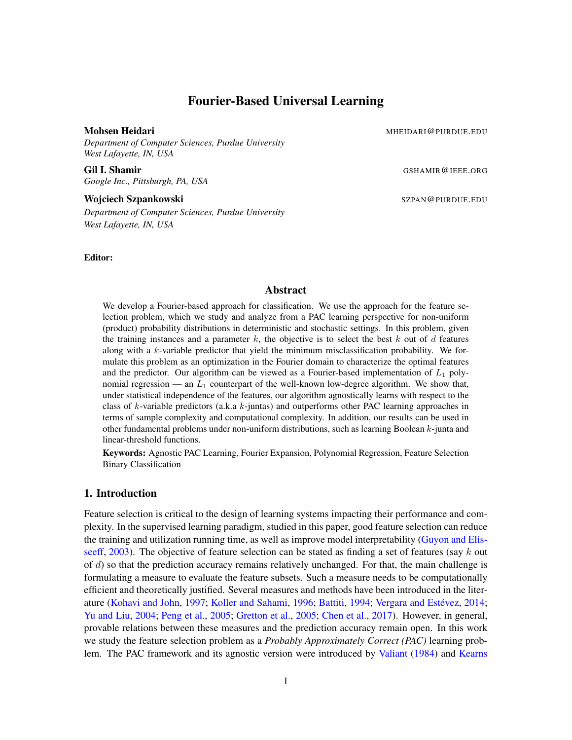# Fourier-Based Universal Learning

*Department of Computer Sciences, Purdue University West Lafayette, IN, USA*

Gil I. Shamir GSHAMIR@IEEE.ORG *Google Inc., Pittsburgh, PA, USA*

Wojciech Szpankowski Szpankowski Szpankowski Szpankowski Szpankowski Szpankowski Szpankowski Szpankowski Szpan *Department of Computer Sciences, Purdue University West Lafayette, IN, USA*

Editor:

Mohsen Heidari Mahammad Museum Museum Museum Museum Museum Museum Museum Museum Museum Museum Museum Museum Museum Museum Museum Museum Museum Museum Museum Museum Museum Museum Museum Museum Museum Museum Museum Museum Mu

#### Abstract

We develop a Fourier-based approach for classification. We use the approach for the feature selection problem, which we study and analyze from a PAC learning perspective for non-uniform (product) probability distributions in deterministic and stochastic settings. In this problem, given the training instances and a parameter  $k$ , the objective is to select the best  $k$  out of  $d$  features along with a  $k$ -variable predictor that yield the minimum misclassification probability. We formulate this problem as an optimization in the Fourier domain to characterize the optimal features and the predictor. Our algorithm can be viewed as a Fourier-based implementation of  $L_1$  polynomial regression — an  $L_1$  counterpart of the well-known low-degree algorithm. We show that, under statistical independence of the features, our algorithm agnostically learns with respect to the class of k-variable predictors (a.k.a  $k$ -juntas) and outperforms other PAC learning approaches in terms of sample complexity and computational complexity. In addition, our results can be used in other fundamental problems under non-uniform distributions, such as learning Boolean  $k$ -junta and linear-threshold functions.

Keywords: Agnostic PAC Learning, Fourier Expansion, Polynomial Regression, Feature Selection Binary Classification

# 1. Introduction

Feature selection is critical to the design of learning systems impacting their performance and complexity. In the supervised learning paradigm, studied in this paper, good feature selection can reduce the training and utilization running time, as well as improve model interpretability [\(Guyon and Elis](#page-30-0)[seeff,](#page-30-0) [2003\)](#page-30-0). The objective of feature selection can be stated as finding a set of features (say  $k$  out of  $d$ ) so that the prediction accuracy remains relatively unchanged. For that, the main challenge is formulating a measure to evaluate the feature subsets. Such a measure needs to be computationally efficient and theoretically justified. Several measures and methods have been introduced in the liter-ature [\(Kohavi and John,](#page-31-0) [1997;](#page-31-0) [Koller and Sahami,](#page-31-1) [1996;](#page-31-1) [Battiti,](#page-30-1) [1994;](#page-30-1) Vergara and Estévez, [2014;](#page-32-0) [Yu and Liu,](#page-32-1) [2004;](#page-32-1) [Peng et al.,](#page-31-2) [2005;](#page-31-2) [Gretton et al.,](#page-30-2) [2005;](#page-30-2) [Chen et al.,](#page-30-3) [2017\)](#page-30-3). However, in general, provable relations between these measures and the prediction accuracy remain open. In this work we study the feature selection problem as a *Probably Approximately Correct (PAC)* learning problem. The PAC framework and its agnostic version were introduced by [Valiant](#page-31-3) [\(1984\)](#page-31-3) and [Kearns](#page-31-4)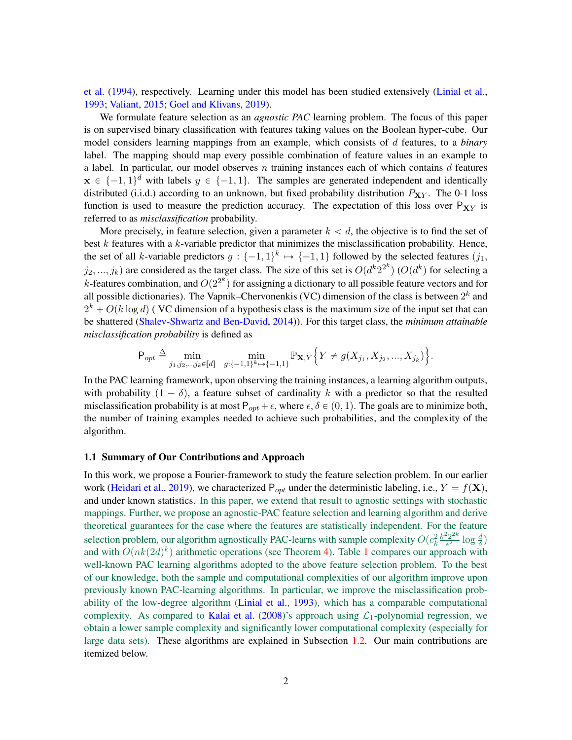[et al.](#page-31-4) [\(1994\)](#page-31-4), respectively. Learning under this model has been studied extensively [\(Linial et al.,](#page-31-5) [1993;](#page-31-5) [Valiant,](#page-31-6) [2015;](#page-31-6) [Goel and Klivans,](#page-30-4) [2019\)](#page-30-4).

We formulate feature selection as an *agnostic PAC* learning problem. The focus of this paper is on supervised binary classification with features taking values on the Boolean hyper-cube. Our model considers learning mappings from an example, which consists of d features, to a *binary* label. The mapping should map every possible combination of feature values in an example to a label. In particular, our model observes  $n$  training instances each of which contains  $d$  features  $\mathbf{x} \in \{-1, 1\}^d$  with labels  $y \in \{-1, 1\}$ . The samples are generated independent and identically distributed (i.i.d.) according to an unknown, but fixed probability distribution  $P_{XY}$ . The 0-1 loss function is used to measure the prediction accuracy. The expectation of this loss over  $P_{XY}$  is referred to as *misclassification* probability.

More precisely, in feature selection, given a parameter  $k < d$ , the objective is to find the set of best  $k$  features with a  $k$ -variable predictor that minimizes the misclassification probability. Hence, the set of all k-variable predictors  $g: \{-1, 1\}^k \mapsto \{-1, 1\}$  followed by the selected features  $(j_1,$  $(j_2, ..., j_k)$  are considered as the target class. The size of this set is  $O(d^k 2^{2^k})$  ( $O(d^k)$  for selecting a *k*-features combination, and  $O(2^{2^k})$  for assigning a dictionary to all possible feature vectors and for all possible dictionaries). The Vapnik–Chervonenkis (VC) dimension of the class is between  $2^k$  and  $2^k + O(k \log d)$  (VC dimension of a hypothesis class is the maximum size of the input set that can be shattered [\(Shalev-Shwartz and Ben-David,](#page-31-7) [2014\)](#page-31-7)). For this target class, the *minimum attainable misclassification probability* is defined as )

$$
\mathsf{P}_{opt} \triangleq \min_{j_1, j_2, \dots, j_k \in [d]} \min_{g: \{-1, 1\}^k \mapsto \{-1, 1\}} \mathbb{P}_{\mathbf{X}, Y} \Big\{ Y \neq g(X_{j_1}, X_{j_2}, \dots, X_{j_k}) \Big\}.
$$

In the PAC learning framework, upon observing the training instances, a learning algorithm outputs, with probability  $(1 - \delta)$ , a feature subset of cardinality k with a predictor so that the resulted misclassification probability is at most  $P_{opt} + \epsilon$ , where  $\epsilon, \delta \in (0, 1)$ . The goals are to minimize both, the number of training examples needed to achieve such probabilities, and the complexity of the algorithm.

#### 1.1 Summary of Our Contributions and Approach

In this work, we propose a Fourier-framework to study the feature selection problem. In our earlier work [\(Heidari et al.,](#page-31-8) [2019\)](#page-31-8), we characterized  $P_{opt}$  under the deterministic labeling, i.e.,  $Y = f(\mathbf{X})$ , and under known statistics. In this paper, we extend that result to agnostic settings with stochastic mappings. Further, we propose an agnostic-PAC feature selection and learning algorithm and derive theoretical guarantees for the case where the features are statistically independent. For the feature selection problem, our algorithm agnostically PAC-learns with sample complexity  $O(c_k^2 \frac{k^2 2^{2k}}{\epsilon^2})$  $\frac{d^2 2^{2k}}{\epsilon^2} \log \frac{d}{\delta}$ and with  $O(nk(2d)^k)$  arithmetic operations (see Theorem [4\)](#page-8-0). Table [1](#page-2-0) compares our approach with well-known PAC learning algorithms adopted to the above feature selection problem. To the best of our knowledge, both the sample and computational complexities of our algorithm improve upon previously known PAC-learning algorithms. In particular, we improve the misclassification probability of the low-degree algorithm [\(Linial et al.,](#page-31-5) [1993\)](#page-31-5), which has a comparable computational complexity. As compared to [Kalai et al.](#page-31-9) [\(2008\)](#page-31-9)'s approach using  $\mathcal{L}_1$ -polynomial regression, we obtain a lower sample complexity and significantly lower computational complexity (especially for large data sets). These algorithms are explained in Subsection [1.2.](#page-3-0) Our main contributions are itemized below.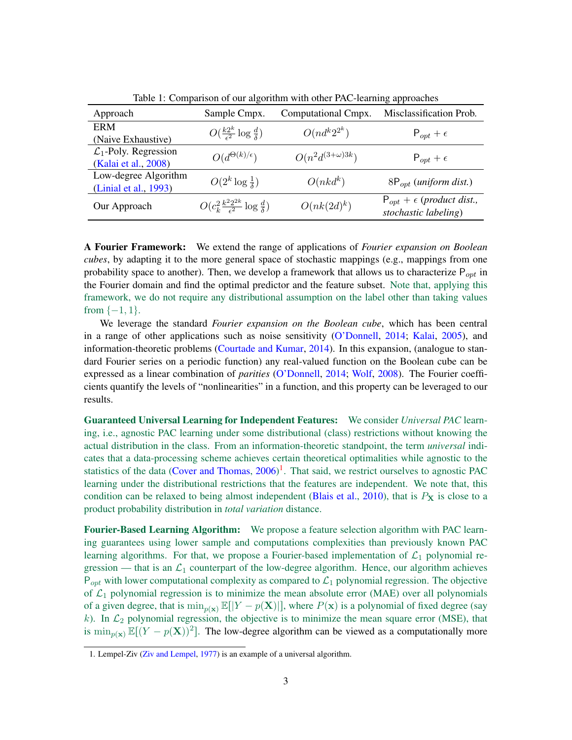<span id="page-2-0"></span>

| Approach                          | Sample Cmpx.                                                   | Computational Cmpx.      | Misclassification Prob.                                      |
|-----------------------------------|----------------------------------------------------------------|--------------------------|--------------------------------------------------------------|
| <b>ERM</b>                        | $O(\frac{k2^k}{\epsilon^2} \log \frac{d}{\delta})$             | $O(nd^k2^{2^k})$         | $P_{opt} + \epsilon$                                         |
| (Naive Exhaustive)                |                                                                |                          |                                                              |
| $\mathcal{L}_1$ -Poly. Regression | $O(d^{\Theta(k)/\epsilon})$                                    | $O(n^2d^{(3+\omega)3k})$ | $P_{opt} + \epsilon$                                         |
| (Kalai et al., 2008)              |                                                                |                          |                                                              |
| Low-degree Algorithm              | $O(2^k \log \frac{1}{\delta})$                                 | $O(nkd^k)$               | $8P_{opt}$ (uniform dist.)                                   |
| (Linial et al., 1993)             |                                                                |                          |                                                              |
| Our Approach                      | $O(c_k^2 \frac{k^2 2^{2k}}{\epsilon^2} \log \frac{d}{\delta})$ | $O(nk(2d)^k)$            | $P_{opt} + \epsilon$ (product dist.,<br>stochastic labeling) |

Table 1: Comparison of our algorithm with other PAC-learning approaches

A Fourier Framework: We extend the range of applications of *Fourier expansion on Boolean cubes*, by adapting it to the more general space of stochastic mappings (e.g., mappings from one probability space to another). Then, we develop a framework that allows us to characterize  $P_{opt}$  in the Fourier domain and find the optimal predictor and the feature subset. Note that, applying this framework, we do not require any distributional assumption on the label other than taking values from  $\{-1, 1\}$ .

We leverage the standard *Fourier expansion on the Boolean cube*, which has been central in a range of other applications such as noise sensitivity [\(O'Donnell,](#page-31-10) [2014;](#page-31-10) [Kalai,](#page-31-11) [2005\)](#page-31-11), and information-theoretic problems [\(Courtade and Kumar,](#page-30-5) [2014\)](#page-30-5). In this expansion, (analogue to standard Fourier series on a periodic function) any real-valued function on the Boolean cube can be expressed as a linear combination of *parities* [\(O'Donnell,](#page-31-10) [2014;](#page-31-10) [Wolf,](#page-32-2) [2008\)](#page-32-2). The Fourier coefficients quantify the levels of "nonlinearities" in a function, and this property can be leveraged to our results.

Guaranteed Universal Learning for Independent Features: We consider *Universal PAC* learning, i.e., agnostic PAC learning under some distributional (class) restrictions without knowing the actual distribution in the class. From an information-theoretic standpoint, the term *universal* indicates that a data-processing scheme achieves certain theoretical optimalities while agnostic to the statistics of the data [\(Cover and Thomas,](#page-30-6)  $2006$ )<sup>[1](#page-2-1)</sup>. That said, we restrict ourselves to agnostic PAC learning under the distributional restrictions that the features are independent. We note that, this condition can be relaxed to being almost independent [\(Blais et al.,](#page-30-7) [2010\)](#page-30-7), that is  $P_X$  is close to a product probability distribution in *total variation* distance.

Fourier-Based Learning Algorithm: We propose a feature selection algorithm with PAC learning guarantees using lower sample and computations complexities than previously known PAC learning algorithms. For that, we propose a Fourier-based implementation of  $\mathcal{L}_1$  polynomial regression — that is an  $\mathcal{L}_1$  counterpart of the low-degree algorithm. Hence, our algorithm achieves  $P_{opt}$  with lower computational complexity as compared to  $\mathcal{L}_1$  polynomial regression. The objective of  $\mathcal{L}_1$  polynomial regression is to minimize the mean absolute error (MAE) over all polynomials of a given degree, that is  $\min_{p(\mathbf{x})} \mathbb{E}[|Y - p(\mathbf{X})|]$ , where  $P(\mathbf{x})$  is a polynomial of fixed degree (say k). In  $\mathcal{L}_2$  polynomial regression, the objective is to minimize the mean square error (MSE), that is  $\min_{p(\mathbf{x})} \mathbb{E}[(Y - p(\mathbf{X}))^2]$ . The low-degree algorithm can be viewed as a computationally more

<span id="page-2-1"></span><sup>1.</sup> Lempel-Ziv [\(Ziv and Lempel,](#page-32-3) [1977\)](#page-32-3) is an example of a universal algorithm.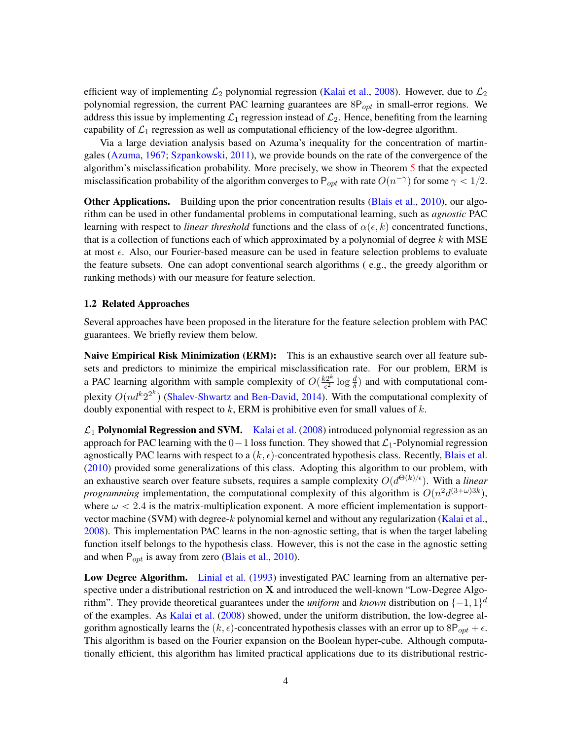efficient way of implementing  $\mathcal{L}_2$  polynomial regression [\(Kalai et al.,](#page-31-9) [2008\)](#page-31-9). However, due to  $\mathcal{L}_2$ polynomial regression, the current PAC learning guarantees are  $8P_{opt}$  in small-error regions. We address this issue by implementing  $\mathcal{L}_1$  regression instead of  $\mathcal{L}_2$ . Hence, benefiting from the learning capability of  $\mathcal{L}_1$  regression as well as computational efficiency of the low-degree algorithm.

Via a large deviation analysis based on Azuma's inequality for the concentration of martingales [\(Azuma,](#page-30-8) [1967;](#page-30-8) [Szpankowski,](#page-31-12) [2011\)](#page-31-12), we provide bounds on the rate of the convergence of the algorithm's misclassification probability. More precisely, we show in Theorem [5](#page-8-1) that the expected misclassification probability of the algorithm converges to  $P_{opt}$  with rate  $O(n^{-\gamma})$  for some  $\gamma < 1/2$ .

**Other Applications.** Building upon the prior concentration results [\(Blais et al.,](#page-30-7) [2010\)](#page-30-7), our algorithm can be used in other fundamental problems in computational learning, such as *agnostic* PAC learning with respect to *linear threshold* functions and the class of  $\alpha(\epsilon, k)$  concentrated functions, that is a collection of functions each of which approximated by a polynomial of degree k with MSE at most  $\epsilon$ . Also, our Fourier-based measure can be used in feature selection problems to evaluate the feature subsets. One can adopt conventional search algorithms ( e.g., the greedy algorithm or ranking methods) with our measure for feature selection.

#### <span id="page-3-0"></span>1.2 Related Approaches

Several approaches have been proposed in the literature for the feature selection problem with PAC guarantees. We briefly review them below.

Naive Empirical Risk Minimization (ERM): This is an exhaustive search over all feature subsets and predictors to minimize the empirical misclassification rate. For our problem, ERM is a PAC learning algorithm with sample complexity of  $O(\frac{k2^k}{\epsilon^2})$  $\frac{d^{2k}}{\epsilon^2} \log \frac{d}{\delta}$  and with computational complexity  $O(nd^k2^{2^k})$  [\(Shalev-Shwartz and Ben-David,](#page-31-7) [2014\)](#page-31-7). With the computational complexity of doubly exponential with respect to  $k$ , ERM is prohibitive even for small values of  $k$ .

 $\mathcal{L}_1$  Polynomial Regression and SVM. [Kalai et al.](#page-31-9) [\(2008\)](#page-31-9) introduced polynomial regression as an approach for PAC learning with the  $0-1$  loss function. They showed that  $\mathcal{L}_1$ -Polynomial regression agnostically PAC learns with respect to a  $(k, \epsilon)$ -concentrated hypothesis class. Recently, [Blais et al.](#page-30-7) [\(2010\)](#page-30-7) provided some generalizations of this class. Adopting this algorithm to our problem, with an exhaustive search over feature subsets, requires a sample complexity  $O(d^{\Theta(k)/\epsilon})$ . With a *linear programming* implementation, the computational complexity of this algorithm is  $O(n^2d^{(3+\omega)3k})$ , where  $\omega < 2.4$  is the matrix-multiplication exponent. A more efficient implementation is supportvector machine (SVM) with degree- $k$  polynomial kernel and without any regularization [\(Kalai et al.,](#page-31-9) [2008\)](#page-31-9). This implementation PAC learns in the non-agnostic setting, that is when the target labeling function itself belongs to the hypothesis class. However, this is not the case in the agnostic setting and when  $P_{opt}$  is away from zero [\(Blais et al.,](#page-30-7) [2010\)](#page-30-7).

Low Degree Algorithm. [Linial et al.](#page-31-5) [\(1993\)](#page-31-5) investigated PAC learning from an alternative perspective under a distributional restriction on  $X$  and introduced the well-known "Low-Degree Algorithm". They provide theoretical guarantees under the *uniform* and *known* distribution on  $\{-1, 1\}^d$ of the examples. As [Kalai et al.](#page-31-9) [\(2008\)](#page-31-9) showed, under the uniform distribution, the low-degree algorithm agnostically learns the  $(k, \epsilon)$ -concentrated hypothesis classes with an error up to 8P<sub>opt</sub> +  $\epsilon$ . This algorithm is based on the Fourier expansion on the Boolean hyper-cube. Although computationally efficient, this algorithm has limited practical applications due to its distributional restric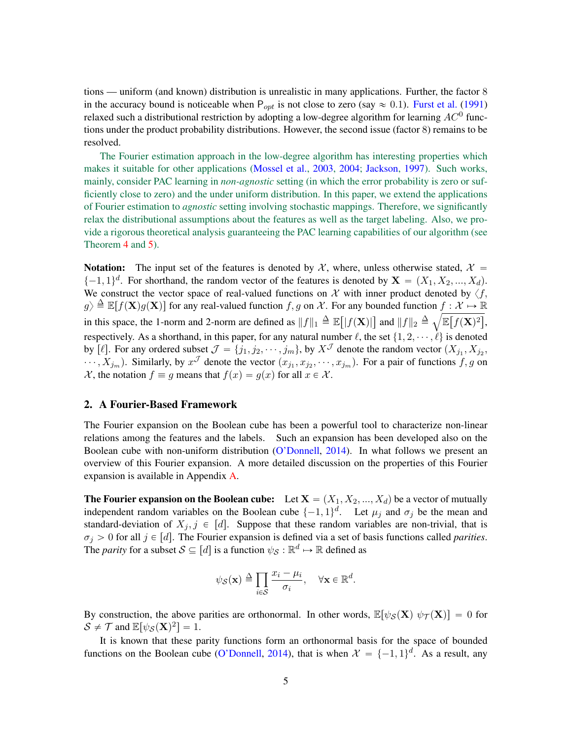tions — uniform (and known) distribution is unrealistic in many applications. Further, the factor 8 in the accuracy bound is noticeable when  $P_{opt}$  is not close to zero (say  $\approx 0.1$ ). [Furst et al.](#page-30-9) [\(1991\)](#page-30-9) relaxed such a distributional restriction by adopting a low-degree algorithm for learning  $AC^0$  functions under the product probability distributions. However, the second issue (factor 8) remains to be resolved.

The Fourier estimation approach in the low-degree algorithm has interesting properties which makes it suitable for other applications [\(Mossel et al.,](#page-31-13) [2003,](#page-31-13) [2004;](#page-31-14) [Jackson,](#page-31-15) [1997\)](#page-31-15). Such works, mainly, consider PAC learning in *non-agnostic* setting (in which the error probability is zero or sufficiently close to zero) and the under uniform distribution. In this paper, we extend the applications of Fourier estimation to *agnostic* setting involving stochastic mappings. Therefore, we significantly relax the distributional assumptions about the features as well as the target labeling. Also, we provide a rigorous theoretical analysis guaranteeing the PAC learning capabilities of our algorithm (see Theorem [4](#page-8-0) and [5\)](#page-8-1).

**Notation:** The input set of the features is denoted by X, where, unless otherwise stated,  $\mathcal{X} =$  $\{-1, 1\}^d$ . For shorthand, the random vector of the features is denoted by  $X = (X_1, X_2, ..., X_d)$ . We construct the vector space of real-valued functions on X with inner product denoted by  $\langle f, \rangle$  $g \geq \mathbb{E}[f(\mathbf{X})g(\mathbf{X})]$  for any real-valued function f, g on X. For any bounded function  $f : \mathcal{X} \to \mathbb{R}$  $g/\equiv E[f(\mathbf{X})]$  for any identicant function for  $f, g$  on  $\lambda$ . For any bounded function  $f: \lambda \mapsto \mathbb{R}$ <br>in this space, the 1-norm and 2-norm are defined as  $||f||_1 \triangleq \mathbb{E}[|f(\mathbf{X})|]$  and  $||f||_2 \triangleq \sqrt{\mathbb{E}[f(\mathbf{X})^2]}$ , respectively. As a shorthand, in this paper, for any natural number  $\ell$ , the set  $\{1, 2, \dots, \ell\}$  is denoted by [ $\ell$ ]. For any ordered subset  $\mathcal{J} = \{j_1, j_2, \cdots, j_m\}$ , by  $X^{\mathcal{J}}$  denote the random vector  $(X_{j_1}, X_{j_2}, \cdots, X_{j_m})$  $\cdots$ ,  $X_{j_m}$ ). Similarly, by  $x^{\mathcal{J}}$  denote the vector  $(x_{j_1}, x_{j_2}, \cdots, x_{j_m})$ . For a pair of functions  $f, g$  on X, the notation  $f \equiv g$  means that  $f(x) = g(x)$  for all  $x \in \mathcal{X}$ .

# <span id="page-4-0"></span>2. A Fourier-Based Framework

The Fourier expansion on the Boolean cube has been a powerful tool to characterize non-linear relations among the features and the labels. Such an expansion has been developed also on the Boolean cube with non-uniform distribution [\(O'Donnell,](#page-31-10) [2014\)](#page-31-10). In what follows we present an overview of this Fourier expansion. A more detailed discussion on the properties of this Fourier expansion is available in Appendix [A.](#page-14-0)

**The Fourier expansion on the Boolean cube:** Let  $X = (X_1, X_2, ..., X_d)$  be a vector of mutually independent random variables on the Boolean cube  $\{-1, 1\}^d$ . Let  $\mu_j$  and  $\sigma_j$  be the mean and standard-deviation of  $X_i, j \in [d]$ . Suppose that these random variables are non-trivial, that is  $\sigma_j > 0$  for all  $j \in [d]$ . The Fourier expansion is defined via a set of basis functions called *parities*. The *parity* for a subset  $S \subseteq [d]$  is a function  $\psi_S : \mathbb{R}^d \mapsto \mathbb{R}$  defined as

$$
\psi_{\mathcal{S}}(\mathbf{x}) \triangleq \prod_{i \in \mathcal{S}} \frac{x_i - \mu_i}{\sigma_i}, \quad \forall \mathbf{x} \in \mathbb{R}^d.
$$

By construction, the above parities are orthonormal. In other words,  $\mathbb{E}[\psi_{\mathcal{S}}(X) \psi_{\mathcal{T}}(X)] = 0$  for  $\mathcal{S} \neq \mathcal{T}$  and  $\mathbb{E}[\psi_{\mathcal{S}}(\mathbf{X})^2] = 1$ .

It is known that these parity functions form an orthonormal basis for the space of bounded functions on the Boolean cube [\(O'Donnell,](#page-31-10) [2014\)](#page-31-10), that is when  $\mathcal{X} = \{-1, 1\}^d$ . As a result, any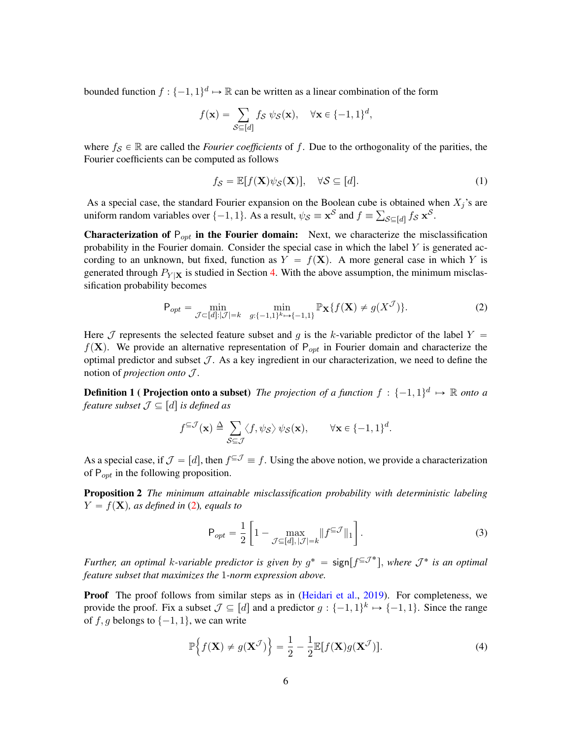bounded function  $f: \{-1, 1\}^d \mapsto \mathbb{R}$  can be written as a linear combination of the form

$$
f(\mathbf{x}) = \sum_{\mathcal{S} \subseteq [d]} f_{\mathcal{S}} \psi_{\mathcal{S}}(\mathbf{x}), \quad \forall \mathbf{x} \in \{-1, 1\}^d,
$$

where  $f_S \in \mathbb{R}$  are called the *Fourier coefficients* of f. Due to the orthogonality of the parities, the Fourier coefficients can be computed as follows

$$
f_{\mathcal{S}} = \mathbb{E}[f(\mathbf{X})\psi_{\mathcal{S}}(\mathbf{X})], \quad \forall \mathcal{S} \subseteq [d]. \tag{1}
$$

As a special case, the standard Fourier expansion on the Boolean cube is obtained when  $X_j$ 's are uniform random variables over  $\{-1, 1\}$ . As a result,  $\psi_{\mathcal{S}} \equiv \mathbf{x}^{\mathcal{S}}$  and  $f \equiv \sum_{\mathcal{S} \subseteq [d]} f_{\mathcal{S}} \mathbf{x}^{\mathcal{S}}$ .

**Characterization of**  $P_{opt}$  **in the Fourier domain:** Next, we characterize the misclassification probability in the Fourier domain. Consider the special case in which the label  $Y$  is generated according to an unknown, but fixed, function as  $Y = f(X)$ . A more general case in which Y is generated through  $P_{Y|X}$  is studied in Section [4.](#page-10-0) With the above assumption, the minimum misclassification probability becomes

$$
\mathsf{P}_{opt} = \min_{\mathcal{J} \subset [d]: |\mathcal{J}| = k} \min_{g: \{-1,1\}^k \mapsto \{-1,1\}} \mathbb{P}_{\mathbf{X}} \{ f(\mathbf{X}) \neq g(X^{\mathcal{J}}) \}. \tag{2}
$$

Here J represents the selected feature subset and q is the k-variable predictor of the label  $Y =$  $f(\mathbf{X})$ . We provide an alternative representation of P<sub>opt</sub> in Fourier domain and characterize the optimal predictor and subset  $\mathcal J$ . As a key ingredient in our characterization, we need to define the notion of *projection onto* J .

**Definition 1 ( Projection onto a subset)** The projection of a function  $f : \{-1, 1\}^d \mapsto \mathbb{R}$  onto a *feature subset*  $\mathcal{J} \subseteq [d]$  *is defined as* 

<span id="page-5-2"></span>
$$
f^{\subseteq \mathcal{J}}(\mathbf{x}) \triangleq \sum_{\mathcal{S} \subseteq \mathcal{J}} \langle f, \psi_{\mathcal{S}} \rangle \psi_{\mathcal{S}}(\mathbf{x}), \qquad \forall \mathbf{x} \in \{-1, 1\}^d.
$$

As a special case, if  $\mathcal{J} = [d]$ , then  $f^{\subseteq \mathcal{J}} \equiv f$ . Using the above notion, we provide a characterization of  $P_{opt}$  in the following proposition.

Proposition 2 *The minimum attainable misclassification probability with deterministic labeling*  $Y = f(\mathbf{X})$ *, as defined in* [\(2\)](#page-5-0)*, equals to* 

<span id="page-5-4"></span><span id="page-5-3"></span>"

$$
\mathsf{P}_{opt} = \frac{1}{2} \left[ 1 - \max_{\mathcal{J} \subseteq [d], |\mathcal{J}| = k} \| f^{\subseteq \mathcal{J}} \|_1 \right]. \tag{3}
$$

<span id="page-5-1"></span><span id="page-5-0"></span> $\overline{a}$ 

*Further, an optimal k-variable predictor is given by*  $g^* = \text{sign}[f^{\subseteq J^*}]$ , where  $J^*$  is an optimal *feature subset that maximizes the* 1*-norm expression above.*

**Proof** The proof follows from similar steps as in [\(Heidari et al.,](#page-31-8) [2019\)](#page-31-8). For completeness, we provide the proof. Fix a subset  $\mathcal{J} \subseteq [d]$  and a predictor  $g: \{-1, 1\}^k \mapsto \{-1, 1\}$ . Since the range of f, g belongs to  $\{-1, 1\}$ , we can write

$$
\mathbb{P}\Big\{f(\mathbf{X}) \neq g(\mathbf{X}^{\mathcal{J}})\Big\} = \frac{1}{2} - \frac{1}{2} \mathbb{E}[f(\mathbf{X})g(\mathbf{X}^{\mathcal{J}})].
$$
\n(4)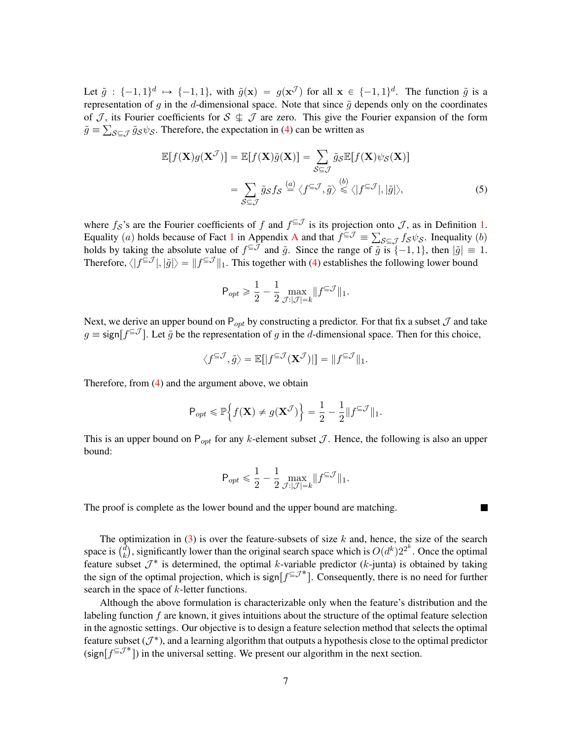Let  $\tilde{g}$  :  $\{-1, 1\}^d \mapsto \{-1, 1\}$ , with  $\tilde{g}(\mathbf{x}) = g(\mathbf{x}^{\mathcal{J}})$  for all  $\mathbf{x} \in \{-1, 1\}^d$ . The function  $\tilde{g}$  is a representation of g in the d-dimensional space. Note that since  $\tilde{g}$  depends only on the coordinates of  $J$ , its Fourier coefficients for  $S \nightharpoonup J$  are zero. This give the Fourier expansion of the form  $\tilde{g} \equiv \sum_{\mathcal{S} \subseteq \mathcal{J}} \tilde{g}_{\mathcal{S}} \psi_{\mathcal{S}}$ . Therefore, the expectation in [\(4\)](#page-5-1) can be written as

$$
\mathbb{E}[f(\mathbf{X})g(\mathbf{X}^{\mathcal{J}})] = \mathbb{E}[f(\mathbf{X})\tilde{g}(\mathbf{X})] = \sum_{\mathcal{S}\subseteq\mathcal{J}} \tilde{g}_{\mathcal{S}}\mathbb{E}[f(\mathbf{X})\psi_{\mathcal{S}}(\mathbf{X})]
$$

$$
= \sum_{\mathcal{S}\subseteq\mathcal{J}} \tilde{g}_{\mathcal{S}}f_{\mathcal{S}} \stackrel{(a)}{=} \langle f^{\subseteq\mathcal{J}}, \tilde{g} \rangle \stackrel{(b)}{\leq} \langle |f^{\subseteq\mathcal{J}}|, |\tilde{g}| \rangle, \tag{5}
$$

where  $f_{\mathcal{S}}$ 's are the Fourier coefficients of f and  $f^{\subseteq \mathcal{J}}$  is its projection onto  $\mathcal{J}$ , as in Definition [1.](#page-5-2) Equality (a) holds because of Fact [1](#page-14-1) in [A](#page-14-0)ppendix A and that  $f^{\subseteq \mathcal{J}} = \sum_{\mathcal{S} \subseteq \mathcal{J}} f_{\mathcal{S}} \psi_{\mathcal{S}}$ . Inequality (b) holds by taking the absolute value of  $f^{\subseteq \mathcal{J}}$  and  $\tilde{g}$ . Since the range of  $\tilde{g}$  is  $\{-1, 1\}$ , then  $|\tilde{g}| \equiv 1$ . Therefore,  $\langle |f^{\subseteq \mathcal{J}}|, |\tilde{g}| \rangle = ||f^{\subseteq \mathcal{J}}||_1$ . This together with [\(4\)](#page-5-1) establishes the following lower bound

$$
\mathsf{P}_{opt} \geqslant \frac{1}{2} - \frac{1}{2} \max_{\mathcal{J}:|\mathcal{J}| = k} \lVert f^{\subseteq \mathcal{J}} \rVert_1.
$$

Next, we derive an upper bound on  $P_{opt}$  by constructing a predictor. For that fix a subset  $\mathcal J$  and take  $g \equiv \text{sign}[f^{\subseteq \mathcal{J}}]$ . Let  $\tilde{g}$  be the representation of g in the d-dimensional space. Then for this choice,

$$
\langle f^{\subseteq \mathcal{J}}, \tilde{g} \rangle = \mathbb{E}[|f^{\subseteq \mathcal{J}}(\mathbf{X}^{\mathcal{J}})|] = ||f^{\subseteq \mathcal{J}}||_1.
$$

Therefore, from [\(4\)](#page-5-1) and the argument above, we obtain

$$
\mathsf{P}_{opt} \leq \mathbb{P}\Big\{f(\mathbf{X}) \neq g(\mathbf{X}^{\mathcal{J}})\Big\} = \frac{1}{2} - \frac{1}{2} \|f^{\subseteq \mathcal{J}}\|_1.
$$

This is an upper bound on  $P_{opt}$  for any k-element subset  $J$ . Hence, the following is also an upper bound:

$$
\mathsf{P}_{opt} \leqslant \frac{1}{2} - \frac{1}{2} \max_{\mathcal{J}:|\mathcal{J}| = k} \lVert f^{\subseteq \mathcal{J}} \rVert_1.
$$

П

The proof is complete as the lower bound and the upper bound are matching.

The optimization in [\(3\)](#page-5-3) is over the feature-subsets of size  $k$  and, hence, the size of the search The op The space is  $\binom{d}{k}$  $\hat{d}_k$ ), significantly lower than the original search space which is  $O(d^k)2^{2^k}$ . Once the optimal feature subset  $\mathcal{J}^*$  is determined, the optimal k-variable predictor (k-junta) is obtained by taking the sign of the optimal projection, which is sign $[f^{\subseteq J^*}]$ . Consequently, there is no need for further search in the space of *k*-letter functions.

Although the above formulation is characterizable only when the feature's distribution and the labeling function  $f$  are known, it gives intuitions about the structure of the optimal feature selection in the agnostic settings. Our objective is to design a feature selection method that selects the optimal feature subset  $(\mathcal{J}^*)$ , and a learning algorithm that outputs a hypothesis close to the optimal predictor (sign $[f^{\subseteq J^*}]$ ) in the universal setting. We present our algorithm in the next section.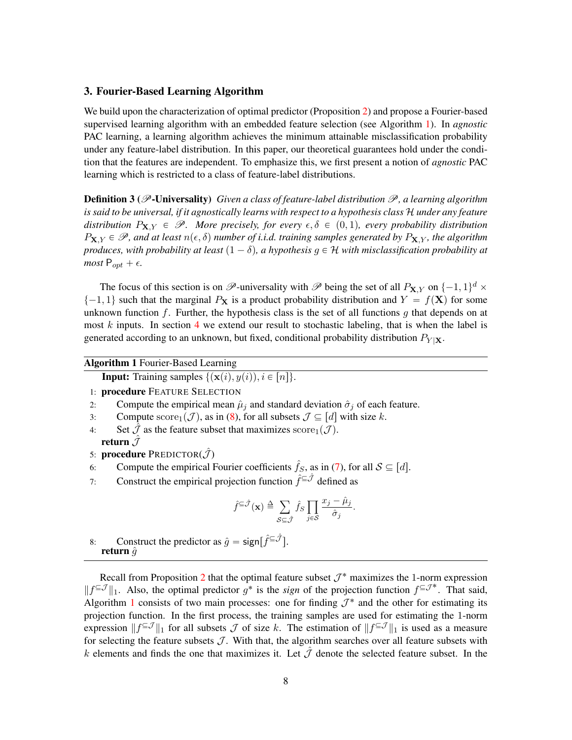# 3. Fourier-Based Learning Algorithm

We build upon the characterization of optimal predictor (Proposition [2\)](#page-5-4) and propose a Fourier-based supervised learning algorithm with an embedded feature selection (see Algorithm [1\)](#page-7-0). In *agnostic* PAC learning, a learning algorithm achieves the minimum attainable misclassification probability under any feature-label distribution. In this paper, our theoretical guarantees hold under the condition that the features are independent. To emphasize this, we first present a notion of *agnostic* PAC learning which is restricted to a class of feature-label distributions.

<span id="page-7-1"></span>Definition 3 (P-Universality) *Given a class of feature-label distribution* P*, a learning algorithm is said to be universal, if it agnostically learns with respect to a hypothesis class* H *under any feature distribution*  $P_{X,Y} \in \mathscr{P}$ *. More precisely, for every*  $\epsilon, \delta \in (0, 1)$ *, every probability distribution*  $P_{\mathbf{X},Y} \in \mathscr{P}$ , and at least  $n(\epsilon, \delta)$  number of *i.i.d.* training samples generated by  $P_{\mathbf{X},Y}$ , the algorithm *produces, with probability at least*  $(1 - \delta)$ *, a hypothesis*  $g \in \mathcal{H}$  *with misclassification probability at most*  $P_{opt} + \epsilon$ .

The focus of this section is on  $\mathscr{P}$ -universality with  $\mathscr{P}$  being the set of all  $P_{\mathbf{X},Y}$  on  $\{-1, 1\}^d \times$  $\{-1, 1\}$  such that the marginal  $P_X$  is a product probability distribution and  $Y = f(X)$  for some unknown function f. Further, the hypothesis class is the set of all functions  $g$  that depends on at most  $k$  inputs. In section [4](#page-10-0) we extend our result to stochastic labeling, that is when the label is generated according to an unknown, but fixed, conditional probability distribution  $P_{Y|X}$ .

<span id="page-7-0"></span>Algorithm 1 Fourier-Based Learning

**Input:** Training samples  $\{(\mathbf{x}(i), y(i)), i \in [n]\}.$ 

- 1: procedure FEATURE SELECTION
- 2: Compute the empirical mean  $\hat{\mu}_j$  and standard deviation  $\hat{\sigma}_j$  of each feature.
- 3: Compute  $\text{score}_1(\mathcal{J})$ , as in [\(8\)](#page-9-0), for all subsets  $\mathcal{J} \subseteq [d]$  with size k.
- 4: Set  $\mathcal J$  as the feature subset that maximizes score  $(\mathcal J)$ . return  $\tilde{\mathcal{J}}$
- 5: **procedure** PREDICTOR $(\hat{\mathcal{J}})$
- 6: Compute the empirical Fourier coefficients  $\hat{f}_S$ , as in [\(7\)](#page-9-1), for all  $S \subseteq [d]$ .
- 7: Construct the empirical projection function  $\hat{f}^{\subseteq \hat{J}}$  defined as

$$
\hat{f}^{\subseteq \hat{\mathcal{J}}}(\mathbf{x}) \triangleq \sum_{\mathcal{S} \subseteq \hat{\mathcal{J}}} \hat{f}_{\mathcal{S}} \prod_{j \in \mathcal{S}} \frac{x_j - \hat{\mu}_j}{\hat{\sigma}_j}.
$$

8: Construct the predictor as  $\hat{g} = \text{sign}[\hat{f}^{\subseteq \hat{\mathcal{J}}}]$ . return  $\hat{g}$ 

Recall from Proposition [2](#page-5-4) that the optimal feature subset  $\mathcal{J}^*$  maximizes the 1-norm expression  $||f^{\subseteq \mathcal{J}}||_1$ . Also, the optimal predictor  $g^*$  is the *sign* of the projection function  $f^{\subseteq \mathcal{J}^*}$ . That said, Algorithm [1](#page-7-0) consists of two main processes: one for finding  $\mathcal{J}^*$  and the other for estimating its projection function. In the first process, the training samples are used for estimating the 1-norm expression  $||f^{\subseteq \mathcal{J}}||_1$  for all subsets  $\mathcal J$  of size k. The estimation of  $||f^{\subseteq \mathcal{J}}||_1$  is used as a measure for selecting the feature subsets  $J$ . With that, the algorithm searches over all feature subsets with k elements and finds the one that maximizes it. Let  $\hat{J}$  denote the selected feature subset. In the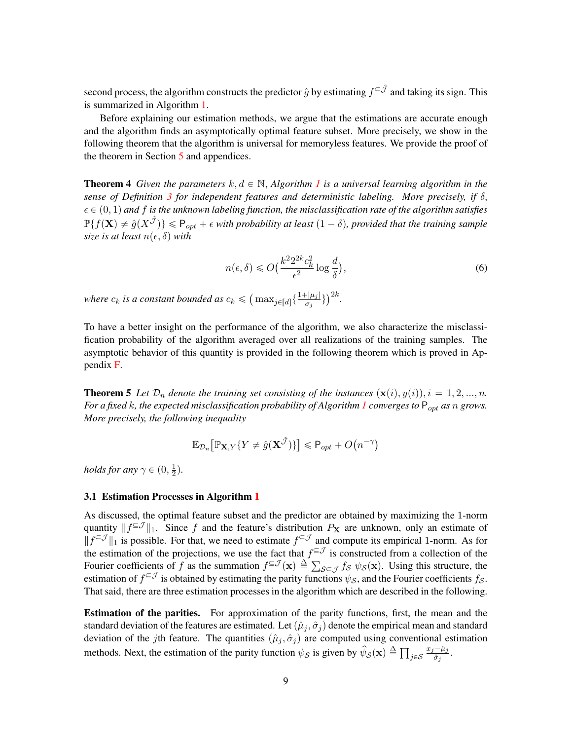second process, the algorithm constructs the predictor  $\hat{g}$  by estimating  $f^{\subseteq \hat{J}}$  and taking its sign. This is summarized in Algorithm [1.](#page-7-0)

Before explaining our estimation methods, we argue that the estimations are accurate enough and the algorithm finds an asymptotically optimal feature subset. More precisely, we show in the following theorem that the algorithm is universal for memoryless features. We provide the proof of the theorem in Section [5](#page-11-0) and appendices.

<span id="page-8-0"></span>**Theorem 4** Given the parameters  $k, d \in \mathbb{N}$ , Algorithm [1](#page-7-0) is a universal learning algorithm in the *sense of Definition [3](#page-7-1) for independent features and deterministic labeling. More precisely, if* δ,  $\epsilon \in (0, 1)$  and f is the unknown labeling function, the misclassification rate of the algorithm satisfies  $\mathbb{P}\{f(\mathbf{X})\neq \hat{g}(X^{\hat{\mathcal{J}}})\}\leqslant \mathsf{P}_{opt}+\epsilon$  with probability at least  $(1-\delta)$ , provided that the training sample *size is at least*  $n(\epsilon, \delta)$  *with* 

<span id="page-8-2"></span>
$$
n(\epsilon, \delta) \le O\left(\frac{k^2 2^{2k} c_k^2}{\epsilon^2} \log \frac{d}{\delta}\right),\tag{6}
$$

*where*  $c_k$  *is a constant bounded as*  $c_k \leqslant$  $\max_{j \in [d]} \left\{ \frac{1 + |\mu_j|}{\sigma_j} \right\}$  $\frac{(-|\mu_j|}{\sigma_j}\}\Big)^{2k}.$ 

To have a better insight on the performance of the algorithm, we also characterize the misclassification probability of the algorithm averaged over all realizations of the training samples. The asymptotic behavior of this quantity is provided in the following theorem which is proved in Appendix [F.](#page-24-0)

<span id="page-8-1"></span>**Theorem 5** Let  $\mathcal{D}_n$  denote the training set consisting of the instances  $(\mathbf{x}(i), y(i)), i = 1, 2, ..., n$ . *For a fixed k, the expected misclassification probability of Algorithm [1](#page-7-0) converges to*  $P_{opt}$  *as* n *grows. More precisely, the following inequality*

$$
\mathbb{E}_{\mathcal{D}_n}\big[\mathbb{P}_{\mathbf{X},Y}\{Y \neq \hat{g}(\mathbf{X}^{\hat{\mathcal{J}}})\}\big] \leq \mathsf{P}_{opt} + O\big(n^{-\gamma}\big)
$$

*holds for any*  $\gamma \in (0, \frac{1}{2})$  $\frac{1}{2}$ .

#### 3.1 Estimation Processes in Algorithm [1](#page-7-0)

As discussed, the optimal feature subset and the predictor are obtained by maximizing the 1-norm quantity  $||f^{\subseteq \mathcal{J}}||_1$ . Since f and the feature's distribution  $P_X$  are unknown, only an estimate of  $||f^{\subseteq \mathcal{J}}||_1$  is possible. For that, we need to estimate  $f^{\subseteq \mathcal{J}}$  and compute its empirical 1-norm. As for the estimation of the projections, we use the fact that  $f^{\subseteq \mathcal{J}}$  is constructed from a collection of the the estimation of the projections, we use the fact that  $f^{\equiv 0}$ <br>Fourier coefficients of f as the summation  $f^{\subseteq \mathcal{J}}(\mathbf{x}) \triangleq \sum$  $s \in \mathcal{J}$   $f_S \psi_S(\mathbf{x})$ . Using this structure, the estimation of  $f^{\subseteq \mathcal{J}}$  is obtained by estimating the parity functions  $\psi_{\mathcal{S}}$ , and the Fourier coefficients  $f_{\mathcal{S}}$ . That said, there are three estimation processes in the algorithm which are described in the following.

Estimation of the parities. For approximation of the parity functions, first, the mean and the standard deviation of the features are estimated. Let  $(\hat{\mu}_j, \hat{\sigma}_j)$  denote the empirical mean and standard deviation of the jth feature. The quantities  $(\hat{\mu}_j, \hat{\sigma}_j)$  are computed using conventional estimation methods. Next, the estimation of the parity function  $\psi_{\mathcal{S}}$  is given by  $\hat{\psi}_{\mathcal{S}}(\mathbf{x}) \triangleq \prod_{\alpha=1}^{\infty}$  $j{\in}\mathcal{S}$  $x_j - \hat{\mu}_j$  $\frac{-\mu_j}{\hat{\sigma}_j}.$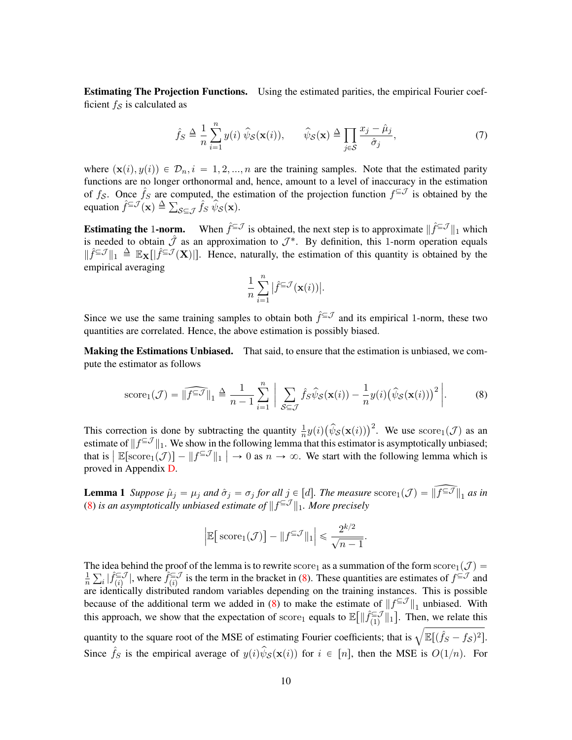Estimating The Projection Functions. Using the estimated parities, the empirical Fourier coefficient  $f_{\mathcal{S}}$  is calculated as

$$
\hat{f}_S \triangleq \frac{1}{n} \sum_{i=1}^n y(i) \hat{\psi}_S(\mathbf{x}(i)), \qquad \hat{\psi}_S(\mathbf{x}) \triangleq \prod_{j \in S} \frac{x_j - \hat{\mu}_j}{\hat{\sigma}_j},\tag{7}
$$

where  $(\mathbf{x}(i), y(i)) \in \mathcal{D}_n, i = 1, 2, ..., n$  are the training samples. Note that the estimated parity functions are no longer orthonormal and, hence, amount to a level of inaccuracy in the estimation of  $f_s$ . Once  $\hat{f}_s$  are computed, the estimation of the projection function  $f^{\subseteq \mathcal{J}}$  is obtained by the ot  $f_{\mathcal{S}}$ . Once  $f_S$  are co<br>equation  $\hat{f} \in \mathcal{J}(\mathbf{x}) \triangleq \sum$  $\sum_{\mathcal{S}\subseteq\mathcal{J}}\hat{f}_S\,\hat{\psi}_{\mathcal{S}}(\mathbf{x}).$ 

**Estimating the 1-norm.** When  $\hat{f}^{\subseteq J}$  is obtained, the next step is to approximate  $\|\hat{f}^{\subseteq J}\|_1$  which is needed to obtain  $\hat{J}$  as an approximation to  $\mathcal{J}^*$ . By definition, this 1-norm operation equals  $\|\hat{f} \leq \mathcal{J}\|_1 \triangleq \mathbb{E}_{\mathbf{X}}[\|\hat{f} \leq \mathcal{J}(\mathbf{X})|\]$ . Hence, naturally, the estimation of this quantity is obtained by the empirical averaging

<span id="page-9-1"></span><span id="page-9-0"></span>
$$
\frac{1}{n}\sum_{i=1}^n\big|\hat{f}^{\subseteq\mathcal{J}}(\mathbf{x}(i))\big|.
$$

Since we use the same training samples to obtain both  $\hat{f} \in \mathcal{I}$  and its empirical 1-norm, these two quantities are correlated. Hence, the above estimation is possibly biased.

**Making the Estimations Unbiased.** That said, to ensure that the estimation is unbiased, we compute the estimator as follows

score<sub>1</sub>(
$$
\mathcal{J}
$$
) =  $\|\widehat{f^{\subseteq \mathcal{J}}}\|_1 \triangleq \frac{1}{n-1} \sum_{i=1}^n \left| \sum_{\mathcal{S} \subseteq \mathcal{J}} \widehat{f}_{\mathcal{S}} \widehat{\psi}_{\mathcal{S}}(\mathbf{x}(i)) - \frac{1}{n} y(i) (\widehat{\psi}_{\mathcal{S}}(\mathbf{x}(i)))^2 \right|.$  (8)

This correction is done by subtracting the quantity  $\frac{1}{n}y(i)$  $(\hat{\psi}_{\mathcal{S}}(\mathbf{x}(i)))^2$ . We use  $score_1(\mathcal{J})$  as an estimate of  $||f^{\subseteq \mathcal{J}}||_1$ . We show in the following lemma that this estimator is asymptotically unbiased; that is  $\|\mathbb{E}[\text{score}_1(\mathcal{J})] - \|f^{\subseteq \mathcal{J}}\|_1 \| \to 0$  as  $n \to \infty$ . We start with the following lemma which is proved in Appendix [D.](#page-22-0)

**Lemma 1** *Suppose*  $\hat{\mu}_j = \mu_j$  *and*  $\hat{\sigma}_j = \sigma_j$  *for all*  $j \in [d]$ *. The measure* score<sub>1</sub>(*J*) =  $\|\widehat{f^{\subseteq J}}\|_1$  *as in* [\(8\)](#page-9-0) is an asymptotically unbiased estimate of  $||f^{\subseteq \mathcal{J}}||_1$ . More precisely

<span id="page-9-2"></span>
$$
\Big|\mathbb{E}\big[\operatorname{score}_1(\mathcal{J})\big] - \|f^{\subseteq \mathcal{J}}\|_1\Big| \leqslant \frac{2^{k/2}}{\sqrt{n-1}}.
$$

The idea behind the proof of the lemma is to rewrite score<sub>1</sub> as a summation of the form score<sub>1</sub>( $\mathcal{J}$ ) =  $\frac{1}{2}$   $\nabla$  +  $\hat{f} \in \mathcal{J}$  where  $\hat{f} \in \mathcal{J}$  is the term in the bracket in (8). These quantities are n e  $\int_{i}^{i}$   $|\hat{f}_{(i)}^{\subseteq}$   $\mathcal{J}$  $\hat{f}^{\subseteq J}_{(i)}$ , where  $\hat{f}^{\subseteq J}_{(i)}$  $\sum_{(i)}^{\in}$  is the term in the bracket in [\(8\)](#page-9-0). These quantities are estimates of  $f^{\subseteq}$  and are identically distributed random variables depending on the training instances. This is possible because of the additional term we added in [\(8\)](#page-9-0) to make the estimate of  $||f^{\text{g}}||_1$  unbiased. With this approach, we show that the expectation of score<sub>1</sub> equals to  $\mathbb{E}[\|\hat{f}_{(1)}^{\subseteq \mathcal{J}}]$  $\sum_{(1)}^{\infty}$  ||1|. Then, we relate this mis approach, we show that the expectation of score<sub>1</sub> equals to  $\mathbb{E}[\|J_{(1)}\|]$ . Then, we relate this quantity to the square root of the MSE of estimating Fourier coefficients; that is  $\sqrt{\mathbb{E}[(\hat{f}_S - f_S)^2]}$ . Since  $\hat{f}_S$  is the empirical average of  $y(i)\hat{\psi}_S(\mathbf{x}(i))$  for  $i \in [n]$ , then the MSE is  $O(1/n)$ . For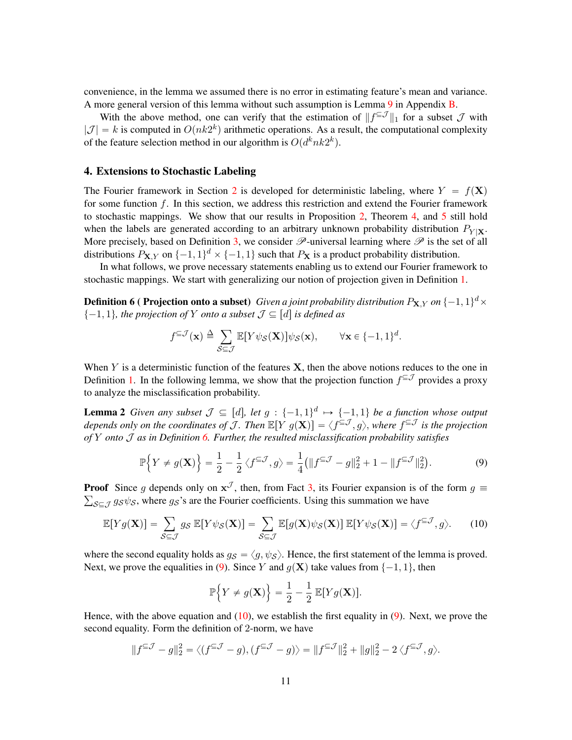convenience, in the lemma we assumed there is no error in estimating feature's mean and variance. A more general version of this lemma without such assumption is Lemma [9](#page-16-0) in Appendix [B.](#page-15-0)

With the above method, one can verify that the estimation of  $||f^{\subseteq \mathcal{J}}||_1$  for a subset  $\mathcal{J}$  with  $|\mathcal{J}| = k$  is computed in  $O(nk2^k)$  arithmetic operations. As a result, the computational complexity of the feature selection method in our algorithm is  $O(d^k n k 2^k)$ .

### <span id="page-10-0"></span>4. Extensions to Stochastic Labeling

The Fourier framework in Section [2](#page-4-0) is developed for deterministic labeling, where  $Y = f(X)$ for some function  $f$ . In this section, we address this restriction and extend the Fourier framework to stochastic mappings. We show that our results in Proposition [2,](#page-5-4) Theorem [4,](#page-8-0) and [5](#page-8-1) still hold when the labels are generated according to an arbitrary unknown probability distribution  $P_{Y|X}$ . More precisely, based on Definition [3,](#page-7-1) we consider  $\mathscr P$ -universal learning where  $\mathscr P$  is the set of all distributions  $P_{\mathbf{X},Y}$  on  $\{-1, 1\}^d \times \{-1, 1\}$  such that  $P_{\mathbf{X}}$  is a product probability distribution.

In what follows, we prove necessary statements enabling us to extend our Fourier framework to stochastic mappings. We start with generalizing our notion of projection given in Definition [1.](#page-5-2)

<span id="page-10-1"></span>**Definition 6 ( Projection onto a subset)** Given a joint probability distribution  $P_{\mathbf{X},Y}$  on  $\{-1,1\}^d \times$  $\{-1, 1\}$ , the projection of Y onto a subset  $\mathcal{J} \subseteq [d]$  is defined as

<span id="page-10-4"></span>
$$
f^{\subseteq \mathcal{J}}(\mathbf{x}) \triangleq \sum_{\mathcal{S} \subseteq \mathcal{J}} \mathbb{E}[Y\psi_{\mathcal{S}}(\mathbf{X})]\psi_{\mathcal{S}}(\mathbf{x}), \qquad \forall \mathbf{x} \in \{-1, 1\}^d.
$$

When  $Y$  is a deterministic function of the features  $X$ , then the above notions reduces to the one in Definition [1.](#page-5-2) In the following lemma, we show that the projection function  $f^{\subseteq J}$  provides a proxy to analyze the misclassification probability.

**Lemma 2** *Given any subset*  $\mathcal{J} \subseteq [d]$ , let  $g : \{-1, 1\}^d \mapsto \{-1, 1\}$  be a function whose output *depends only on the coordinates of J. Then*  $\mathbb{E}[Y|g(\mathbf{X})] = \langle f^{\subseteq J}, g \rangle$ , where  $f^{\subseteq J}$  is the projection *of* Y *onto* J *as in Definition [6.](#page-10-1) Further, the resulted misclassification probability satisfies*

$$
\mathbb{P}\Big\{Y \neq g(\mathbf{X})\Big\} = \frac{1}{2} - \frac{1}{2}\big\langle f^{\subseteq \mathcal{J}}, g \big\rangle = \frac{1}{4} \big( \|f^{\subseteq \mathcal{J}} - g\|_2^2 + 1 - \|f^{\subseteq \mathcal{J}}\|_2^2 \big).
$$
 (9)

**Proof** Since g depends only on  $x^{\mathcal{J}}$ , then, from Fact [3,](#page-14-2) its Fourier expansion is of the form  $g \equiv$  $s \in \mathcal{J}$  gs $\psi s$ , where gs's are the Fourier coefficients. Using this summation we have

$$
\mathbb{E}[Yg(\mathbf{X})] = \sum_{\mathcal{S}\subseteq\mathcal{J}} g_{\mathcal{S}} \mathbb{E}[Y\psi_{\mathcal{S}}(\mathbf{X})] = \sum_{\mathcal{S}\subseteq\mathcal{J}} \mathbb{E}[g(\mathbf{X})\psi_{\mathcal{S}}(\mathbf{X})] \mathbb{E}[Y\psi_{\mathcal{S}}(\mathbf{X})] = \langle f^{\subseteq\mathcal{J}}, g \rangle.
$$
 (10)

where the second equality holds as  $g_S = \langle g, \psi_S \rangle$ . Hence, the first statement of the lemma is proved. Next, we prove the equalities in [\(9\)](#page-10-2). Since Y and  $g(\mathbf{X})$  take values from  $\{-1, 1\}$ , then

<span id="page-10-3"></span><span id="page-10-2"></span>
$$
\mathbb{P}\Big\{Y\neq g(\mathbf{X})\Big\}=\frac{1}{2}-\frac{1}{2}\,\mathbb{E}[Yg(\mathbf{X})].
$$

Hence, with the above equation and  $(10)$ , we establish the first equality in  $(9)$ . Next, we prove the second equality. Form the definition of 2-norm, we have

$$
||f^{\subseteq \mathcal{J}} - g||_2^2 = \langle (f^{\subseteq \mathcal{J}} - g), (f^{\subseteq \mathcal{J}} - g) \rangle = ||f^{\subseteq \mathcal{J}}||_2^2 + ||g||_2^2 - 2 \langle f^{\subseteq \mathcal{J}}, g \rangle.
$$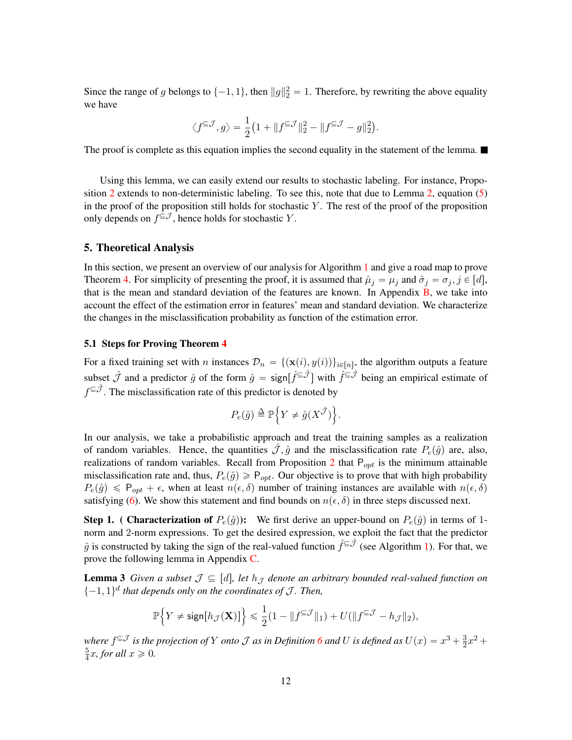Since the range of g belongs to  $\{-1, 1\}$ , then  $||g||_2^2 = 1$ . Therefore, by rewriting the above equality we have

$$
\big\langle f^{\subseteq \mathcal{J}},g\big\rangle=\frac{1}{2}\big(1+\|f^{\subseteq \mathcal{J}}\|_2^2-\|f^{\subseteq \mathcal{J}}-g\|_2^2\big).
$$

The proof is complete as this equation implies the second equality in the statement of the lemma.

Using this lemma, we can easily extend our results to stochastic labeling. For instance, Propo-sition [2](#page-5-4) extends to non-deterministic labeling. To see this, note that due to Lemma [2,](#page-10-4) equation  $(5)$ in the proof of the proposition still holds for stochastic  $Y$ . The rest of the proof of the proposition only depends on  $f^{\subseteq \mathcal{J}}$ , hence holds for stochastic Y.

#### <span id="page-11-0"></span>5. Theoretical Analysis

In this section, we present an overview of our analysis for Algorithm [1](#page-7-0) and give a road map to prove Theorem [4.](#page-8-0) For simplicity of presenting the proof, it is assumed that  $\hat{\mu}_i = \mu_i$  and  $\hat{\sigma}_i = \sigma_i$ ,  $j \in [d]$ , that is the mean and standard deviation of the features are known. In Appendix [B,](#page-15-0) we take into account the effect of the estimation error in features' mean and standard deviation. We characterize the changes in the misclassification probability as function of the estimation error.

#### <span id="page-11-1"></span>5.1 Steps for Proving Theorem [4](#page-8-0)

For a fixed training set with n instances  $\mathcal{D}_n = \{(\mathbf{x}(i), y(i))\}_{i \in [n]}$ , the algorithm outputs a feature subset  $\hat{J}$  and a predictor  $\hat{g}$  of the form  $\hat{g} = \text{sign}[\hat{f}^{\subseteq \hat{J}}]$  with  $\hat{f}^{\subseteq \hat{J}}$  being an empirical estimate of  $f^{\subseteq \hat{J}}$ . The misclassification rate of this predictor is denoted by **1980**  $\ddot{\phantom{0}}$ 

$$
P_e(\hat{g}) \triangleq \mathbb{P}\Big\{Y \neq \hat{g}(X^{\hat{\mathcal{J}}})\Big\}.
$$

In our analysis, we take a probabilistic approach and treat the training samples as a realization of random variables. Hence, the quantities  $\mathcal{J}, \hat{g}$  and the misclassification rate  $P_e(\hat{g})$  are, also, realizations of random variables. Recall from Proposition [2](#page-5-4) that  $P_{opt}$  is the minimum attainable misclassification rate and, thus,  $P_e(\hat{g}) \geq P_{opt}$ . Our objective is to prove that with high probability  $P_e(\hat{g}) \leq P_{opt} + \epsilon$ , when at least  $n(\epsilon, \delta)$  number of training instances are available with  $n(\epsilon, \delta)$ satisfying [\(6\)](#page-8-2). We show this statement and find bounds on  $n(\epsilon, \delta)$  in three steps discussed next.

**Step 1.** ( Characterization of  $P_e(\hat{g})$ ): We first derive an upper-bound on  $P_e(\hat{g})$  in terms of 1norm and 2-norm expressions. To get the desired expression, we exploit the fact that the predictor  $\hat{g}$  is constructed by taking the sign of the real-valued function  $\hat{f}^{\subseteq \hat{J}}$  (see Algorithm [1\)](#page-7-0). For that, we prove the following lemma in Appendix [C.](#page-20-0)

**Lemma 3** *Given a subset*  $\mathcal{J} \subseteq [d]$ , let  $h_{\mathcal{J}}$  *denote an arbitrary bounded real-valued function on*  $\{-1, 1\}$ <sup>d</sup> that depends only on the coordinates of J. Then,

<span id="page-11-2"></span>
$$
\mathbb{P}\Big\{Y\neq \text{sign}\big[h_{\mathcal{J}}(\mathbf{X})\big]\Big\}\leqslant \frac{1}{2}(1-\|f^{\subseteq\mathcal{J}}\|_1)+U(\|f^{\subseteq\mathcal{J}}-h_{\mathcal{J}}\|_2),
$$

where  $f^{\subseteq J}$  is the projection of Y onto J as in Definition [6](#page-10-1) and U is defined as  $U(x) = x^3 + \frac{3}{2}$  $\frac{3}{2}x^2 +$ 5  $\frac{5}{4}x$ *, for all*  $x \ge 0$ *.*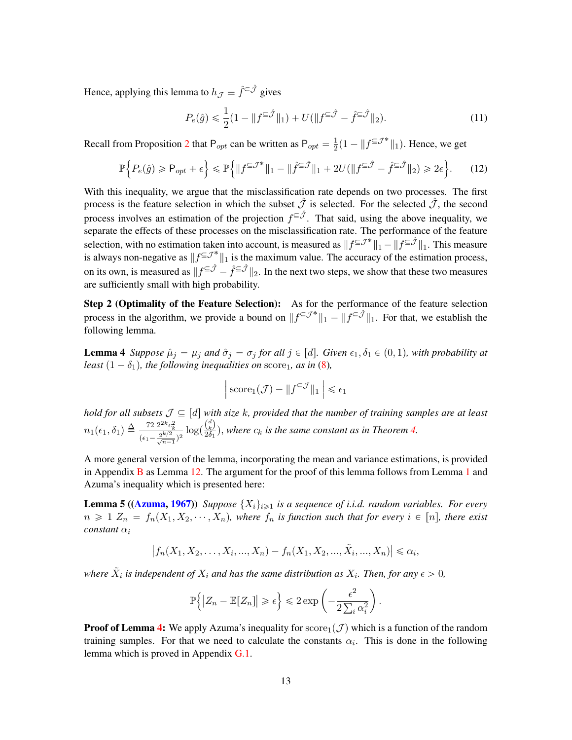Hence, applying this lemma to  $h_{\mathcal{J}} \equiv \hat{f}^{\subseteq \hat{\mathcal{J}}}$  gives

<span id="page-12-1"></span>
$$
P_e(\hat{g}) \le \frac{1}{2} (1 - \|f^{\subseteq \hat{\mathcal{J}}}\|_1) + U(\|f^{\subseteq \hat{\mathcal{J}}} - \hat{f}^{\subseteq \hat{\mathcal{J}}}\|_2). \tag{11}
$$

Recall from Proposition [2](#page-5-4) that P<sub>opt</sub> can be written as  $P_{opt} = \frac{1}{2}$  $\frac{1}{2}(1 - \|f^{\subseteq \mathcal{J}^*}\|_1)$ . Hence, we get

$$
\mathbb{P}\Big\{P_e(\hat{g})\geq P_{opt}+\epsilon\Big\}\leq \mathbb{P}\Big\{\|f^{\subseteq\mathcal{J}^*}\|_1-\|\hat{f}^{\subseteq\hat{\mathcal{J}}}\|_1+2U(\|f^{\subseteq\hat{\mathcal{J}}}-\hat{f}^{\subseteq\hat{\mathcal{J}}}\|_2)\geq 2\epsilon\Big\}.\tag{12}
$$

With this inequality, we argue that the misclassification rate depends on two processes. The first process is the feature selection in which the subset  $\hat{J}$  is selected. For the selected  $\hat{J}$ , the second process involves an estimation of the projection  $f^{\subseteq \hat{J}}$ . That said, using the above inequality, we separate the effects of these processes on the misclassification rate. The performance of the feature selection, with no estimation taken into account, is measured as  $||f^{\subseteq J^*}||_1 - ||f^{\subseteq \hat{J}}||_1$ . This measure is always non-negative as  $||f^{\subseteq J^*}||_1$  is the maximum value. The accuracy of the estimation process, on its own, is measured as  $||f^{\subseteq \hat{J}} - \hat{f}^{\subseteq \hat{J}}||_2$ . In the next two steps, we show that these two measures are sufficiently small with high probability.

Step 2 (Optimality of the Feature Selection): As for the performance of the feature selection process in the algorithm, we provide a bound on  $||f^{\subseteq J^*}||_1 - ||f^{\subseteq \hat{J}}||_1$ . For that, we establish the following lemma.

<span id="page-12-0"></span>**Lemma 4** *Suppose*  $\hat{\mu}_j = \mu_j$  *and*  $\hat{\sigma}_j = \sigma_j$  *for all*  $j \in [d]$ *. Given*  $\epsilon_1, \delta_1 \in (0, 1)$ *, with probability at least*  $(1 - \delta_1)$ *, the following inequalities on* score<sub>1</sub>*, as in* [\(8\)](#page-9-0)*,* 

<span id="page-12-2"></span>
$$
\Big|\operatorname{score}_1(\mathcal{J}) - \|f^{\subseteq \mathcal{J}}\|_1\Big|\leq \epsilon_1
$$

*hold for all subsets*  $\mathcal{J} \subseteq [d]$  with size k, provided that the number of training samples are at least  $n_1(\epsilon_1, \delta_1) \triangleq \frac{72 \ 2^{2k} c_k^2}{(\epsilon_1 - \frac{2^{k/2}}{\sqrt{n-1}})^2} \log(\frac{\binom{d}{k}}{2 \delta_1})$  $\frac{(k)}{2\delta_1}$ , where  $c_k$  is the same constant as in Theorem [4.](#page-8-0)

A more general version of the lemma, incorporating the mean and variance estimations, is provided in Appendix  $\bf{B}$  $\bf{B}$  $\bf{B}$  as Lemma [12.](#page-18-0) The argument for the proof of this lemma follows from Lemma [1](#page-9-2) and Azuma's inequality which is presented here:

**Lemma 5 ([\(Azuma,](#page-30-8) [1967\)](#page-30-8))** *Suppose*  $\{X_i\}_{i\geq1}$  *is a sequence of i.i.d. random variables. For every*  $n \geq 1$   $Z_n = f_n(X_1, X_2, \dots, X_n)$ , where  $f_n$  is function such that for every  $i \in [n]$ , there exist  $constant \alpha_i$ 

$$
|f_n(X_1, X_2, \dots, X_i, \dots, X_n) - f_n(X_1, X_2, \dots, \tilde{X}_i, \dots, X_n)| \leq \alpha_i,
$$

where  $\tilde{X}_i$  is independent of  $X_i$  and has the same distribution as  $X_i$ . Then, for any  $\epsilon > 0$ ,

<span id="page-12-3"></span>
$$
\mathbb{P}\left\{ \left| Z_n - \mathbb{E}[Z_n] \right| \geqslant \epsilon \right\} \leqslant 2\exp\left( - \frac{\epsilon^2}{2\sum_i \alpha_i^2} \right)
$$

.

**Proof of Lemma [4:](#page-12-0)** We apply Azuma's inequality for score<sub>1</sub> (*J*) which is a function of the random training samples. For that we need to calculate the constants  $\alpha_i$ . This is done in the following lemma which is proved in Appendix [G.1.](#page-26-0)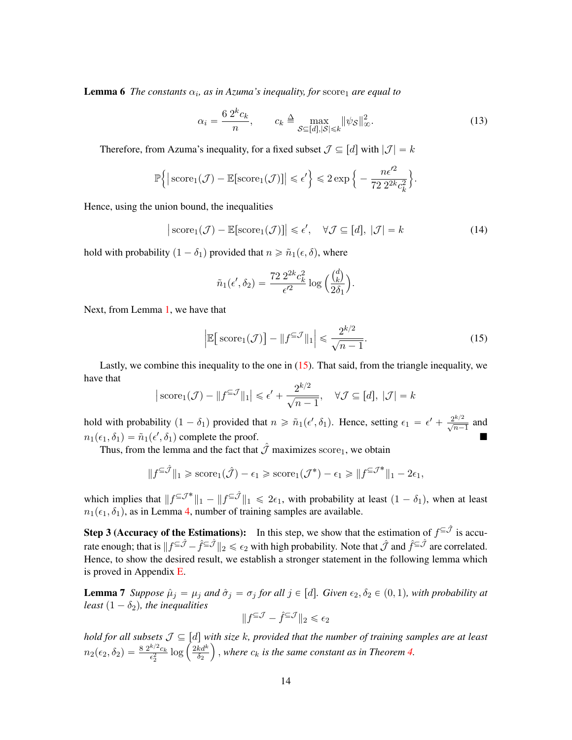**Lemma 6** The constants  $\alpha_i$ , as in Azuma's inequality, for score<sub>1</sub> are equal to

<span id="page-13-2"></span>
$$
\alpha_i = \frac{6 \, 2^k c_k}{n}, \qquad c_k \triangleq \max_{\mathcal{S} \subseteq [d], |\mathcal{S}| \le k} ||\psi_{\mathcal{S}}||_{\infty}^2. \tag{13}
$$

Therefore, from Azuma's inequality, for a fixed subset  $\mathcal{J} \subseteq [d]$  with  $|\mathcal{J}| = k$ 

$$
\mathbb{P}\Big\{\big|\operatorname{score}_1(\mathcal{J}) - \mathbb{E}[\operatorname{score}_1(\mathcal{J})]\big| \leqslant \epsilon'\Big\} \leqslant 2\exp\Big\{-\frac{n\epsilon'^2}{72\ 2^{2k}c_k^2}\Big\}.
$$

Hence, using the union bound, the inequalities

$$
|\operatorname{score}_1(\mathcal{J}) - \mathbb{E}[\operatorname{score}_1(\mathcal{J})]| \le \epsilon', \quad \forall \mathcal{J} \subseteq [d], |\mathcal{J}| = k
$$
\n(14)

hold with probability  $(1 - \delta_1)$  provided that  $n \geq \tilde{n}_1(\epsilon, \delta)$ , where

<span id="page-13-0"></span>
$$
\tilde{n}_1(\epsilon', \delta_2) = \frac{72 \ 2^{2k} c_k^2}{\epsilon'^2} \log \left(\frac{\binom{d}{k}}{2\delta_1}\right).
$$

Next, from Lemma [1,](#page-9-2) we have that

$$
\left| \mathbb{E} \left[ \text{score}_1(\mathcal{J}) \right] - \| f^{\subseteq \mathcal{J}} \|_1 \right| \leq \frac{2^{k/2}}{\sqrt{n-1}}.
$$
 (15)

Lastly, we combine this inequality to the one in [\(15\)](#page-13-0). That said, from the triangle inequality, we have that

$$
|\operatorname{score}_1(\mathcal{J}) - ||f^{\subseteq \mathcal{J}}||_1| \le \epsilon' + \frac{2^{k/2}}{\sqrt{n-1}}, \quad \forall \mathcal{J} \subseteq [d], |\mathcal{J}| = k
$$

hold with probability  $(1 - \delta_1)$  provided that  $n \ge \tilde{n}_1(\epsilon', \delta_1)$ . Hence, setting  $\epsilon_1 = \epsilon' + \frac{2^{k/2}}{\sqrt{n-1}}$  and  $n_1(\epsilon_1, \delta_1) = \tilde{n}_1(\epsilon', \delta_1)$  complete the proof.

Thus, from the lemma and the fact that  $\hat{J}$  maximizes score<sub>1</sub>, we obtain

$$
||f^{\subseteq \hat{\mathcal{J}}}||_1 \geqslant \text{score}_1(\hat{\mathcal{J}}) - \epsilon_1 \geqslant \text{score}_1(\mathcal{J}^*) - \epsilon_1 \geqslant ||f^{\subseteq \mathcal{J}^*}||_1 - 2\epsilon_1,
$$

which implies that  $||f^{\subseteq J^*}||_1 - ||f^{\subseteq \hat{J}}||_1 \le 2\epsilon_1$ , with probability at least  $(1 - \delta_1)$ , when at least  $n_1(\epsilon_1, \delta_1)$ , as in Lemma [4,](#page-12-0) number of training samples are available.

**Step 3 (Accuracy of the Estimations):** In this step, we show that the estimation of  $f^{\subseteq \hat{J}}$  is accurate enough; that is  $||f^{\subseteq \hat{\mathcal{J}}}-\hat{f}^{\subseteq \hat{\mathcal{J}}}||_2 \leqslant \epsilon_2$  with high probability. Note that  $\hat{\mathcal{J}}$  and  $\hat{f}^{\subseteq \hat{\mathcal{J}}}$  are correlated. Hence, to show the desired result, we establish a stronger statement in the following lemma which is proved in Appendix [E.](#page-23-0)

**Lemma 7** *Suppose*  $\hat{\mu}_j = \mu_j$  *and*  $\hat{\sigma}_j = \sigma_j$  *for all*  $j \in [d]$ *. Given*  $\epsilon_2, \delta_2 \in (0, 1)$ *, with probability at least*  $(1 - \delta_2)$ *, the inequalities* 

<span id="page-13-1"></span>
$$
\|f^{\subseteq \mathcal{J}} - \hat{f}^{\subseteq \mathcal{J}}\|_2 \leq \epsilon_2
$$

*hold for all subsets*  $\mathcal{J} \subseteq [d]$  *with size*  $k$ *, provided that the number of training samples are at least*  $n_2(\epsilon_2, \delta_2) = \frac{8 \; 2^{k/2} c_k}{\epsilon^2}$  $\begin{array}{l} \mathit{Sets}\ \mathcal{J}\subseteq [d] \ \mathsf{w} \ \frac{k/2c_k}{\epsilon_2^2}\log\left(\frac{2kd^k}{\delta_2}\right) \end{array}$  $\frac{kd^{\alpha}}{\delta_2}$ ), where  $c_k$  is the same constant as in Theorem [4.](#page-8-0)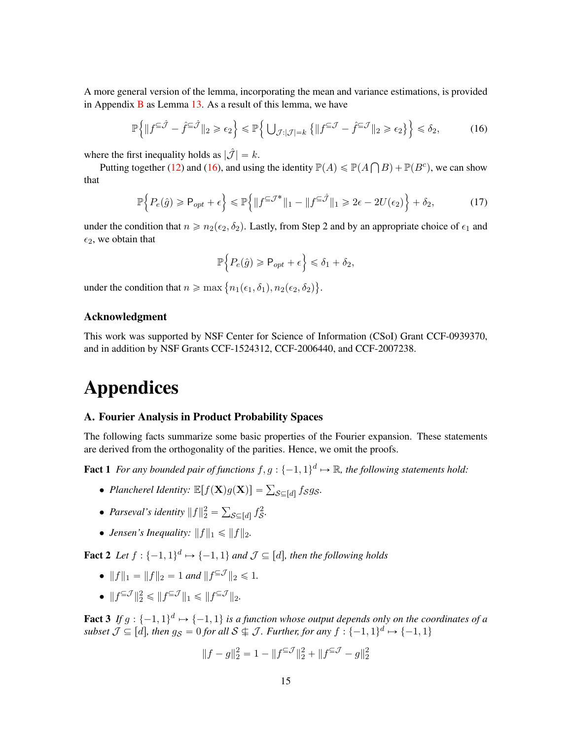A more general version of the lemma, incorporating the mean and variance estimations, is provided in Appendix  $\bf{B}$  $\bf{B}$  $\bf{B}$  as Lemma [13.](#page-19-0) As a result of this lemma, we have

$$
\mathbb{P}\left\{\|f^{\subseteq\hat{\mathcal{J}}}-\hat{f}^{\subseteq\hat{\mathcal{J}}}\|_2\geqslant\epsilon_2\right\}\leqslant\mathbb{P}\left\{\left.\bigcup_{\mathcal{J}:|\mathcal{J}|=k}\left\{\|f^{\subseteq\mathcal{J}}-\hat{f}^{\subseteq\mathcal{J}}\|_2\geqslant\epsilon_2\right\}\right\}\leqslant\delta_2,\tag{16}
$$

where the first inequality holds as  $|\hat{\mathcal{J}}| = k$ .

Putting together [\(12\)](#page-12-1) and [\(16\)](#page-14-3), and using the identity  $\mathbb{P}(A) \le \mathbb{P}(A)$ ş  $B) + \mathbb{P}(B^c)$ , we can show that !<br>! ) !<br>!  $\mathbf{r}$ 

$$
\mathbb{P}\Big\{P_e(\hat{g})\geq P_{opt}+\epsilon\Big\}\leq \mathbb{P}\Big\{\|f^{\subseteq\mathcal{J}^*}\|_1-\|f^{\subseteq\hat{\mathcal{J}}}\|_1\geq 2\epsilon-2U(\epsilon_2)\Big\}+\delta_2,\tag{17}
$$

under the condition that  $n \ge n_2(\epsilon_2, \delta_2)$ . Lastly, from Step 2 and by an appropriate choice of  $\epsilon_1$  and  $\epsilon_2$ , we obtain that

<span id="page-14-3"></span><span id="page-14-1"></span>
$$
\mathbb{P}\Big\{P_e(\hat{g})\geq P_{opt}+\epsilon\Big\}\leq \delta_1+\delta_2,
$$

under the condition that  $n \ge \max\left\{n_1(\epsilon_1, \delta_1), n_2(\epsilon_2, \delta_2)\right\}$ .

### Acknowledgment

This work was supported by NSF Center for Science of Information (CSoI) Grant CCF-0939370, and in addition by NSF Grants CCF-1524312, CCF-2006440, and CCF-2007238.

# Appendices

#### <span id="page-14-0"></span>A. Fourier Analysis in Product Probability Spaces

The following facts summarize some basic properties of the Fourier expansion. These statements are derived from the orthogonality of the parities. Hence, we omit the proofs.

**Fact 1** For any bounded pair of functions  $f, g: \{-1, 1\}^d \mapsto \mathbb{R}$ , the following statements hold:

- *Plancherel Identity:*  $\mathbb{E}[f(\mathbf{X})g(\mathbf{X})] = \sum_{\mathcal{S} \subseteq [d]} f_{\mathcal{S}}g_{\mathcal{S}}.$
- *Parseval's identity*  $||f||_2^2 =$  $s \in [d]$   $\hat{f}_{\mathcal{S}}^2$ .
- *Jensen's Inequality:*  $||f||_1 \le ||f||_2$ .

<span id="page-14-4"></span>**Fact 2** Let  $f : \{-1, 1\}^d \mapsto \{-1, 1\}$  and  $\mathcal{J} \subseteq [d]$ , then the following holds

- $||f||_1 = ||f||_2 = 1$  and  $||f^{\subseteq \mathcal{J}}||_2 \le 1$ .
- $||f^{\subseteq \mathcal{J}}||_2^2 \le ||f^{\subseteq \mathcal{J}}||_1 \le ||f^{\subseteq \mathcal{J}}||_2.$

<span id="page-14-2"></span>**Fact 3** If  $g : \{-1, 1\}^d \mapsto \{-1, 1\}$  is a function whose output depends only on the coordinates of a subset  $\mathcal{J} \subseteq [d]$ , then  $g_{\mathcal{S}} = 0$  for all  $\mathcal{S} \nsubseteq \mathcal{J}$ . Further, for any  $f : \{-1, 1\}^d \mapsto \{-1, 1\}$ 

$$
||f - g||_2^2 = 1 - ||f^{\subseteq \mathcal{J}}||_2^2 + ||f^{\subseteq \mathcal{J}} - g||_2^2
$$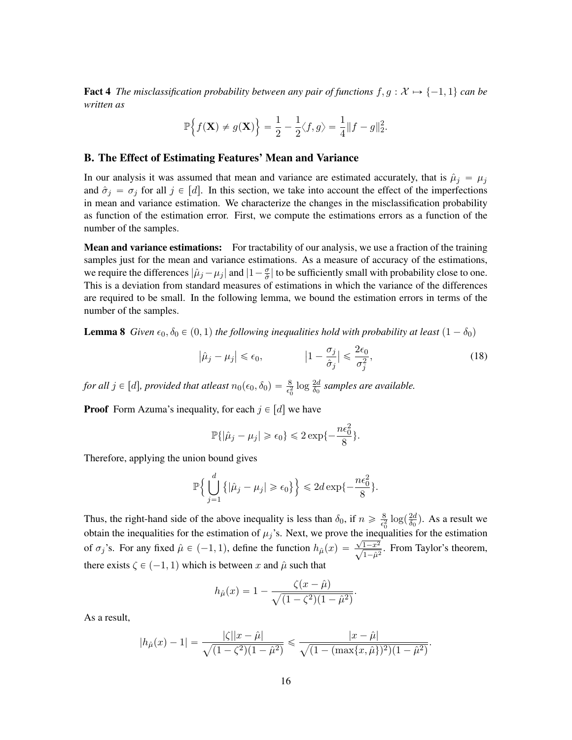**Fact 4** *The misclassification probability between any pair of functions*  $f, g: \mathcal{X} \mapsto \{-1, 1\}$  *can be written as*

$$
\mathbb{P}\Big\{f(\mathbf{X}) \neq g(\mathbf{X})\Big\} = \frac{1}{2} - \frac{1}{2}\langle f, g \rangle = \frac{1}{4} ||f - g||_2^2.
$$

#### <span id="page-15-0"></span>B. The Effect of Estimating Features' Mean and Variance

In our analysis it was assumed that mean and variance are estimated accurately, that is  $\hat{\mu}_j = \mu_j$ and  $\hat{\sigma}_i = \sigma_j$  for all  $j \in [d]$ . In this section, we take into account the effect of the imperfections in mean and variance estimation. We characterize the changes in the misclassification probability as function of the estimation error. First, we compute the estimations errors as a function of the number of the samples.

**Mean and variance estimations:** For tractability of our analysis, we use a fraction of the training samples just for the mean and variance estimations. As a measure of accuracy of the estimations, we require the differences  $|\hat{\mu}_j - \mu_j|$  and  $|1 - \frac{\sigma}{\hat{\sigma}}|$  $\frac{\sigma}{\hat{\sigma}}$  to be sufficiently small with probability close to one. This is a deviation from standard measures of estimations in which the variance of the differences are required to be small. In the following lemma, we bound the estimation errors in terms of the number of the samples.

<span id="page-15-2"></span>**Lemma 8** *Given*  $\epsilon_0$ ,  $\delta_0 \in (0, 1)$  *the following inequalities hold with probability at least*  $(1 - \delta_0)$ 

$$
\left|\hat{\mu}_j - \mu_j\right| \le \epsilon_0, \qquad \qquad \left|1 - \frac{\sigma_j}{\hat{\sigma}_j}\right| \le \frac{2\epsilon_0}{\sigma_j^2}, \tag{18}
$$

for all  $j \in [d]$ , provided that atleast  $n_0(\epsilon_0, \delta_0) = \frac{8}{\epsilon_0^2} \log \frac{2d}{\delta_0}$  samples are available.

**Proof** Form Azuma's inequality, for each  $j \in [d]$  we have

<span id="page-15-1"></span>
$$
\mathbb{P}\{|\hat{\mu}_j - \mu_j| \geqslant \epsilon_0\} \leqslant 2\exp\{-\frac{n\epsilon_0^2}{8}\}.
$$

Therefore, applying the union bound gives

$$
\mathbb{P}\Big\{\bigcup_{j=1}^d\big\{|\hat{\mu}_j-\mu_j|\geqslant \epsilon_0\big\}\Big\}\leqslant 2d\exp\{-\frac{n\epsilon_0^2}{8}\}.
$$

Thus, the right-hand side of the above inequality is less than  $\delta_0$ , if  $n \geq \frac{8}{\epsilon^2}$  $\frac{8}{\epsilon_0^2} \log(\frac{2d}{\delta_0})$ obtain the inequalities for the estimation of  $\mu_j$ 's. Next, we prove the inequalities for the estimation  $\frac{2d}{\delta_0}$ ). As a result we of  $\sigma_j$ 's. For any fixed  $\hat{\mu} \in (-1, 1)$ , define the function  $h_{\hat{\mu}}(x) = \frac{\sqrt{1-x^2}}{\sqrt{1-\hat{\mu}^2}}$ . From Taylor's theorem, there exists  $\zeta \in (-1, 1)$  which is between x and  $\hat{\mu}$  such that

$$
h_{\hat{\mu}}(x) = 1 - \frac{\zeta(x - \hat{\mu})}{\sqrt{(1 - \zeta^2)(1 - \hat{\mu}^2)}}.
$$

As a result,

$$
|h_{\hat{\mu}}(x) - 1| = \frac{|\zeta||x - \hat{\mu}|}{\sqrt{(1 - \zeta^2)(1 - \hat{\mu}^2)}} \le \frac{|x - \hat{\mu}|}{\sqrt{(1 - (\max\{x, \hat{\mu}\})^2)(1 - \hat{\mu}^2)}}.
$$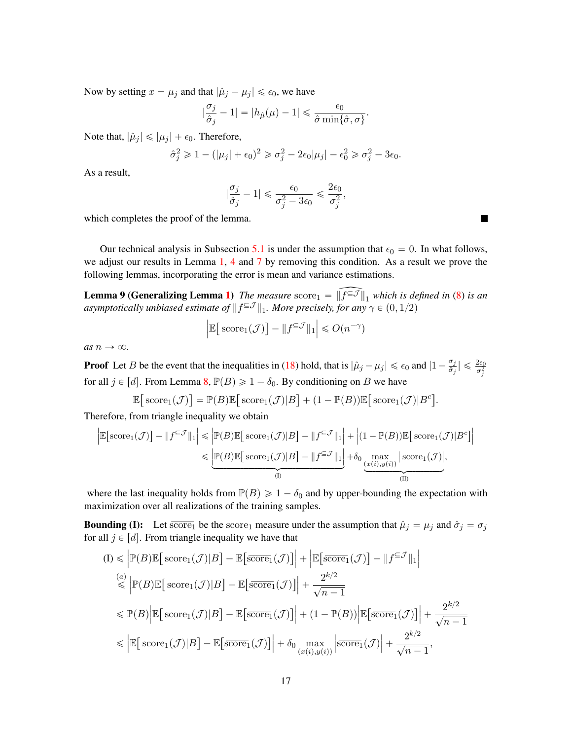Now by setting  $x = \mu_j$  and that  $|\hat{\mu}_j - \mu_j| \le \epsilon_0$ , we have

$$
|\frac{\sigma_j}{\hat{\sigma}_j} - 1| = |h_{\hat{\mu}}(\mu) - 1| \leq \frac{\epsilon_0}{\hat{\sigma}\min\{\hat{\sigma}, \sigma\}}
$$

.

Note that,  $|\hat{\mu}_j| \leq |\mu_j| + \epsilon_0$ . Therefore,

$$
\hat{\sigma}_j^2 \ge 1 - (|\mu_j| + \epsilon_0)^2 \ge \sigma_j^2 - 2\epsilon_0|\mu_j| - \epsilon_0^2 \ge \sigma_j^2 - 3\epsilon_0.
$$

As a result,

$$
|\frac{\sigma_j}{\hat{\sigma}_j}-1|\leqslant\frac{\epsilon_0}{\sigma_j^2-3\epsilon_0}\leqslant\frac{2\epsilon_0}{\sigma_j^2},
$$

which completes the proof of the lemma.

Our technical analysis in Subsection [5.1](#page-11-1) is under the assumption that  $\epsilon_0 = 0$ . In what follows, we adjust our results in Lemma [1,](#page-9-2) [4](#page-12-0) and [7](#page-13-1) by removing this condition. As a result we prove the following lemmas, incorporating the error is mean and variance estimations.

<span id="page-16-0"></span>**Lemma 9 (Generalizing Lemma [1\)](#page-9-2)** The measure score  $\widehat{f} = \widehat{f}$  which is defined in [\(8\)](#page-9-0) is an *asymptotically unbiased estimate of*  $||f^{\subseteq \mathcal{J}}||_1$ . More precisely, for any  $\gamma \in (0, 1/2)$ 

$$
\left| \mathbb{E} \big[ \operatorname{score}_1(\mathcal{J}) \big] - \| f^{\subseteq \mathcal{J}} \|_1 \right| \leq O(n^{-\gamma})
$$

*as*  $n \rightarrow \infty$ *.* 

**Proof** Let B be the event that the inequalities in [\(18\)](#page-15-1) hold, that is  $|\hat{\mu}_j - \mu_j| \le \epsilon_0$  and  $|1 - \frac{\sigma_j}{\hat{\sigma}_j}|$  $\left|\frac{\sigma_j}{\hat{\sigma}_j}\right| \leqslant \frac{2\epsilon_0}{\sigma_j^2}$ for all  $j \in [d]$ . From Lemma [8,](#page-15-2)  $\mathbb{P}(B) \geq 1 - \delta_0$ . By conditioning on B we have ‰

$$
\mathbb{E}\big[\operatorname{score}_1(\mathcal{J})\big] = \mathbb{P}(B)\mathbb{E}\big[\operatorname{score}_1(\mathcal{J})|B\big] + (1 - \mathbb{P}(B))\mathbb{E}\big[\operatorname{score}_1(\mathcal{J})|B^c\big].
$$

Therefore, from triangle inequality we obtain

$$
\left| \mathbb{E} \left[ \mathrm{score}_1(\mathcal{J}) \right] - \| f^{\subseteq \mathcal{J}} \|_1 \right| \leq \left| \mathbb{P}(B) \mathbb{E} \left[ \mathrm{score}_1(\mathcal{J}) | B \right] - \| f^{\subseteq \mathcal{J}} \|_1 \right| + \left| (1 - \mathbb{P}(B)) \mathbb{E} \left[ \mathrm{score}_1(\mathcal{J}) | B^c \right] \right|
$$
  

$$
\leq \underbrace{\left| \mathbb{P}(B) \mathbb{E} \left[ \mathrm{score}_1(\mathcal{J}) | B \right] - \| f^{\subseteq \mathcal{J}} \|_1 \right|}_{(I)} + \delta_0 \underbrace{\max_{(x(i), y(i))} \left| \mathrm{score}_1(\mathcal{J}) \right|}_{(II)},
$$

where the last inequality holds from  $\mathbb{P}(B) \geq 1 - \delta_0$  and by upper-bounding the expectation with maximization over all realizations of the training samples.

**Bounding (I):** Let  $\overline{score}_1$  be the score<sub>1</sub> measure under the assumption that  $\hat{\mu}_j = \mu_j$  and  $\hat{\sigma}_j = \sigma_j$ for all  $j \in [d]$ . From triangle inequality we have that

$$
(I) \leq \left| \mathbb{P}(B) \mathbb{E} \left[ \operatorname{score}_1(\mathcal{J}) | B \right] - \mathbb{E} \left[ \overline{\operatorname{score}}_1(\mathcal{J}) \right] \right| + \left| \mathbb{E} \left[ \overline{\operatorname{score}}_1(\mathcal{J}) \right] - \| f^{\subseteq \mathcal{J}} \|_1 \right|
$$
\n
$$
\stackrel{(a)}{\leq} \left| \mathbb{P}(B) \mathbb{E} \left[ \operatorname{score}_1(\mathcal{J}) | B \right] - \mathbb{E} \left[ \overline{\operatorname{score}}_1(\mathcal{J}) \right] \right| + \frac{2^{k/2}}{\sqrt{n-1}}
$$
\n
$$
\leq \mathbb{P}(B) \left| \mathbb{E} \left[ \operatorname{score}_1(\mathcal{J}) | B \right] - \mathbb{E} \left[ \overline{\operatorname{score}}_1(\mathcal{J}) \right] \right| + (1 - \mathbb{P}(B)) \left| \mathbb{E} \left[ \overline{\operatorname{score}}_1(\mathcal{J}) \right] \right| + \frac{2^{k/2}}{\sqrt{n-1}}
$$
\n
$$
\leq \left| \mathbb{E} \left[ \operatorname{score}_1(\mathcal{J}) | B \right] - \mathbb{E} \left[ \overline{\operatorname{score}}_1(\mathcal{J}) \right] \right| + \delta_0 \max_{(x(i), y(i))} \left| \overline{\operatorname{score}}_1(\mathcal{J}) \right| + \frac{2^{k/2}}{\sqrt{n-1}},
$$

**The Second Second**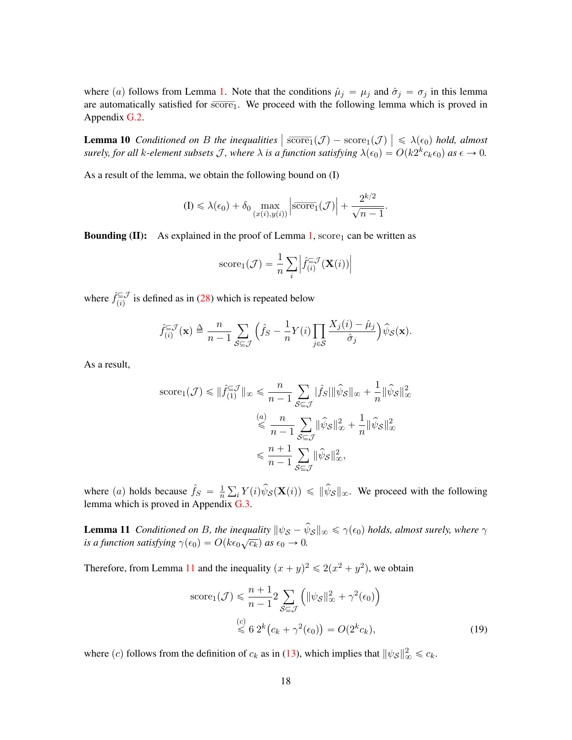<span id="page-17-1"></span>where (a) follows from Lemma [1.](#page-9-2) Note that the conditions  $\hat{\mu}_j = \mu_j$  and  $\hat{\sigma}_j = \sigma_j$  in this lemma are automatically satisfied for  $s\overline{core}_1$ . We proceed with the following lemma which is proved in Appendix [G.2.](#page-27-0)

**Lemma 10** *Conditioned on B the inequalities*  $\left| \frac{\text{score}_1(\mathcal{J})}{\text{score}_1(\mathcal{J})} \right| \leq \lambda(\epsilon_0)$  *hold, almost* surely, for all k-element subsets J, where  $\lambda$  is a function satisfying  $\lambda(\epsilon_0) = O(k2^kc_k\epsilon_0)$  as  $\epsilon \to 0$ .

As a result of the lemma, we obtain the following bound on (I)

$$
\text{(I)} \leq \lambda(\epsilon_0) + \delta_0 \max_{(x(i), y(i))} \left| \overline{\text{score}}_1(\mathcal{J}) \right| + \frac{2^{k/2}}{\sqrt{n-1}}.
$$

**Bounding (II):** As explained in the proof of Lemma [1,](#page-9-2) score<sub>1</sub> can be written as

score<sub>1</sub>(
$$
\mathcal{J}
$$
) =  $\frac{1}{n} \sum_{i} \left| \hat{f}_{(i)}^{\subseteq \mathcal{J}}(\mathbf{X}(i)) \right|$ 

where  $\hat{f}_{(i)}^{\subseteq J}$  $\sum_{(i)}^{\infty}$  is defined as in [\(28\)](#page-22-1) which is repeated below

$$
\hat{f}_{(i)}^{\subseteq \mathcal{J}}(\mathbf{x}) \triangleq \frac{n}{n-1} \sum_{\mathcal{S} \subseteq \mathcal{J}} \left( \hat{f}_{\mathcal{S}} - \frac{1}{n} Y(i) \prod_{j \in \mathcal{S}} \frac{X_j(i) - \hat{\mu}_j}{\hat{\sigma}_j} \right) \hat{\psi}_{\mathcal{S}}(\mathbf{x}).
$$

As a result,

$$
\begin{split} \text{score}_1(\mathcal{J}) &\leq \|\hat{f}_{(1)}^{\subseteq \mathcal{J}}\|_{\infty} \leq \frac{n}{n-1} \sum_{\mathcal{S} \subseteq \mathcal{J}} |\hat{f}_S| \|\hat{\psi}_S\|_{\infty} + \frac{1}{n} \|\hat{\psi}_S\|_{\infty}^2 \\ &\leq \frac{n}{n-1} \sum_{\mathcal{S} \subseteq \mathcal{J}} \|\hat{\psi}_S\|_{\infty}^2 + \frac{1}{n} \|\hat{\psi}_S\|_{\infty}^2 \\ &\leq \frac{n+1}{n-1} \sum_{\mathcal{S} \subseteq \mathcal{J}} \|\hat{\psi}_S\|_{\infty}^2, \end{split}
$$

where (*a*) holds because  $\hat{f}_S = \frac{1}{n}$  $\overline{n}$  $\hat{U}_i Y(i) \hat{\psi}_{\mathcal{S}}(\mathbf{X}(i)) \leq \|\hat{\psi}_{\mathcal{S}}\|_{\infty}$ . We proceed with the following lemma which is proved in Appendix [G.3.](#page-28-0)

<span id="page-17-0"></span>**Lemma 11** Conditioned on B, the inequality  $\|\psi_{\mathcal{S}} - \hat{\psi}_{\mathcal{S}}\|_{\infty} \le \gamma(\epsilon_0)$  holds, almost surely, where  $\gamma$ *is a function satisfying*  $\gamma(\epsilon_0) = O(k\epsilon_0\sqrt{c_k})$  *as*  $\epsilon_0 \rightarrow 0$ .

Therefore, from Lemma [11](#page-17-0) and the inequality  $(x + y)^2 \le 2(x^2 + y^2)$ , we obtain

score<sub>1</sub>(
$$
\mathcal{J}
$$
)  $\leq \frac{n+1}{n-1} 2 \sum_{\mathcal{S} \subseteq \mathcal{J}} \left( ||\psi_{\mathcal{S}}||_{\infty}^2 + \gamma^2(\epsilon_0) \right)$   
\n $\leq 6 \ 2^k (c_k + \gamma^2(\epsilon_0)) = O(2^k c_k),$  (19)

where (c) follows from the definition of  $c_k$  as in [\(13\)](#page-13-2), which implies that  $\|\psi_{\mathcal{S}}\|_{\infty}^2 \leq c_k$ .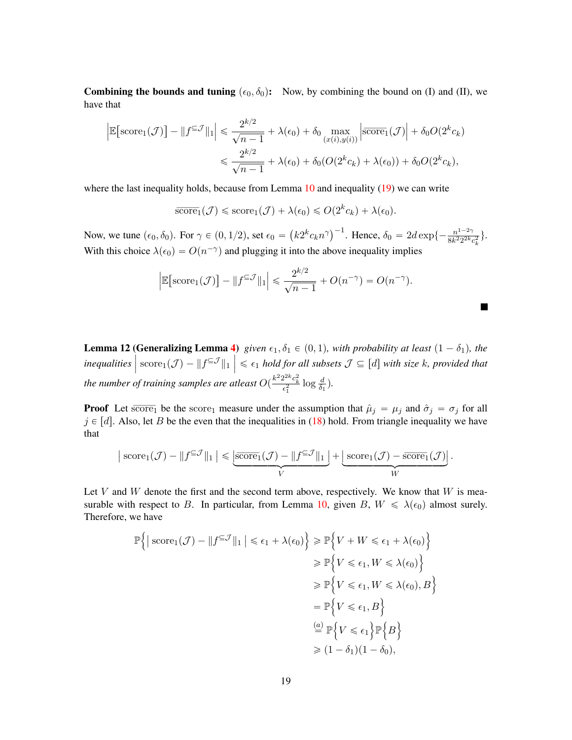Combining the bounds and tuning  $(\epsilon_0, \delta_0)$ : Now, by combining the bound on (I) and (II), we have that

$$
\mathbb{E}\left[\text{score}_1(\mathcal{J})\right] - \|f^{\subseteq \mathcal{J}}\|_1 \le \frac{2^{k/2}}{\sqrt{n-1}} + \lambda(\epsilon_0) + \delta_0 \max_{(x(i), y(i))} \left|\overline{\text{score}}_1(\mathcal{J})\right| + \delta_0 O(2^k c_k)
$$

$$
\le \frac{2^{k/2}}{\sqrt{n-1}} + \lambda(\epsilon_0) + \delta_0 (O(2^k c_k) + \lambda(\epsilon_0)) + \delta_0 O(2^k c_k),
$$

where the last inequality holds, because from Lemma [10](#page-17-1) and inequality [\(19\)](#page-17-0) we can write

ˇ  $\mathsf{I}$ 

$$
\overline{\text{score}}_1(\mathcal{J}) \leq \text{score}_1(\mathcal{J}) + \lambda(\epsilon_0) \leq O(2^k c_k) + \lambda(\epsilon_0).
$$

Now, we tune  $(\epsilon_0, \delta_0)$ . For  $\gamma \in (0, 1/2)$ , set  $\epsilon_0$  =  $k 2^{k} c_{k} n^{\gamma}$ <sup>-1</sup>. Hence,  $\delta_0 = 2d \exp\{-\frac{n^{1-2\gamma}}{8k^2 2^{2k}}\}$  $\frac{n^{1-2} \sqrt{1}}{8k^2 2^{2k} c_k^2}$ . With this choice  $\lambda(\epsilon_0) = O(n^{-\gamma})$  and plugging it into the above inequality implies

$$
\left|\mathbb{E}\left[\text{score}_1(\mathcal{J})\right] - \|f^{\subseteq \mathcal{J}}\|_1\right| \leq \frac{2^{k/2}}{\sqrt{n-1}} + O(n^{-\gamma}) = O(n^{-\gamma}).
$$

**T** 

<span id="page-18-0"></span>**Lemma 12 (Generalizing Lemma [4\)](#page-12-0)** given  $\epsilon_1, \delta_1 \in (0,1)$ , with probability at least  $(1 - \delta_1)$ , the *inequalities*  $\left| \begin{array}{c} \text{Succ} \\ \text{score}_1(\mathcal{J}) - \| f^{\subseteq \mathcal{J}} \|_1 \end{array} \right| \leq \epsilon_1 \text{ hold for all subsets } \mathcal{J} \subseteq [d] \text{ with size } k, \text{ provided that }$ the number of training samples are atleast  $O(\frac{k^2 2^{2k} c_k^2}{\epsilon_1^2} \log \frac{d}{\delta_1}).$ 

**Proof** Let score<sub>1</sub> be the score<sub>1</sub> measure under the assumption that  $\hat{\mu}_j = \mu_j$  and  $\hat{\sigma}_j = \sigma_j$  for all  $j \in [d]$ . Also, let B be the even that the inequalities in [\(18\)](#page-15-1) hold. From triangle inequality we have that

$$
\big|\operatorname{score}_1(\mathcal{J}) - \|f^{\subseteq \mathcal{J}}\|_1\big| \leqslant \underbrace{\big|\overline{\operatorname{score}}_1(\mathcal{J}) - \|f^{\subseteq \mathcal{J}}\|_1\big|}_{V} + \underbrace{\big|\operatorname{score}_1(\mathcal{J}) - \overline{\operatorname{score}}_1(\mathcal{J})\big|}_{W}.
$$

Let V and W denote the first and the second term above, respectively. We know that  $W$  is mea-surable with respect to B. In particular, from Lemma [10,](#page-17-1) given B,  $W \leq \lambda(\epsilon_0)$  almost surely. Therefore, we have ) **1980** )

$$
\mathbb{P}\left\{ \left| \operatorname{score}_{1}(\mathcal{J}) - \| f^{\subseteq \mathcal{J}} \|_{1} \right| \leq \epsilon_{1} + \lambda(\epsilon_{0}) \right\} \geq \mathbb{P}\left\{ V + W \leq \epsilon_{1} + \lambda(\epsilon_{0}) \right\}
$$
  
\n
$$
\geq \mathbb{P}\left\{ V \leq \epsilon_{1}, W \leq \lambda(\epsilon_{0}) \right\}
$$
  
\n
$$
\geq \mathbb{P}\left\{ V \leq \epsilon_{1}, W \leq \lambda(\epsilon_{0}), B \right\}
$$
  
\n
$$
= \mathbb{P}\left\{ V \leq \epsilon_{1}, B \right\}
$$
  
\n
$$
\stackrel{(a)}{=} \mathbb{P}\left\{ V \leq \epsilon_{1} \right\} \mathbb{P}\left\{ B \right\}
$$
  
\n
$$
\geq (1 - \delta_{1})(1 - \delta_{0}),
$$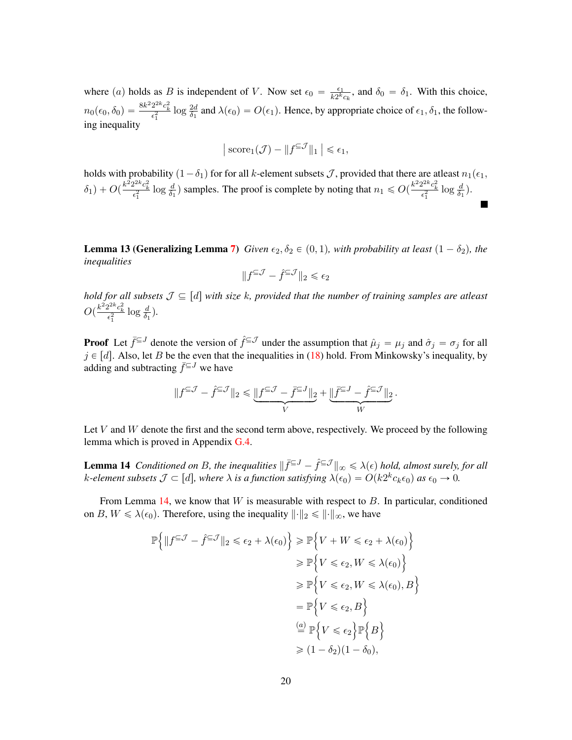where (a) holds as B is independent of V. Now set  $\epsilon_0 = \frac{\epsilon_1}{k_0 k}$  $\frac{\epsilon_1}{k2^k c_k}$ , and  $\delta_0 = \delta_1$ . With this choice,  $n_0(\epsilon_0, \delta_0) = \frac{8k^2 2^{2k} c_k^2}{\epsilon_1^2} \log \frac{2d}{\delta_1}$  and  $\lambda(\epsilon_0) = O(\epsilon_1)$ . Hence, by appropriate choice of  $\epsilon_1, \delta_1$ , the following inequality

$$
|\,\text{score}_1(\mathcal{J}) - \|f^{\subseteq \mathcal{J}}\|_1 \, \big| \le \epsilon_1,
$$

holds with probability  $(1-\delta_1)$  for for all k-element subsets J, provided that there are atleast  $n_1(\epsilon_1,$  $\delta_1$ ) +  $O(\frac{k^2 2^{2k} c_k^2}{\epsilon_1^2} \log \frac{d}{\delta_1})$  samples. The proof is complete by noting that  $n_1 \leqslant O(\frac{k^2 2^{2k} c_k^2}{\epsilon_1^2} \log \frac{d}{\delta_1})$ .

<span id="page-19-0"></span>**Lemma 13 (Generalizing Lemma [7\)](#page-13-1)** *Given*  $\epsilon_2, \delta_2 \in (0, 1)$ *, with probability at least*  $(1 - \delta_2)$ *, the inequalities*

$$
\|f^{\subseteq \mathcal{J}}-\hat{f}^{\subseteq \mathcal{J}}\|_2\leqslant \epsilon_2
$$

*hold for all subsets*  $\mathcal{J} \subseteq [d]$  with size k, provided that the number of training samples are atleast  $O(\frac{k^2 2^{2k} c_k^2}{\epsilon_1^2} \log \frac{d}{\delta_1}).$ 

**Proof** Let  $\bar{f} \in J$  denote the version of  $\hat{f} \in J$  under the assumption that  $\hat{\mu}_j = \mu_j$  and  $\hat{\sigma}_j = \sigma_j$  for all  $j \in [d]$ . Also, let B be the even that the inequalities in [\(18\)](#page-15-1) hold. From Minkowsky's inequality, by adding and subtracting  $\bar{f}^{\subseteq J}$  we have

<span id="page-19-1"></span>
$$
\|f^{\subseteq \mathcal{J}}-\widehat{f}^{\subseteq \mathcal{J}}\|_2 \leqslant \underbrace{\|f^{\subseteq \mathcal{J}}-\bar{f}^{\subseteq J}\|_2}_{V}+\underbrace{\|\bar{f}^{\subseteq J}-\widehat{f}^{\subseteq \mathcal{J}}\|_2}_{W}.
$$

Let  $V$  and  $W$  denote the first and the second term above, respectively. We proceed by the following lemma which is proved in Appendix [G.4.](#page-29-0)

**Lemma 14** Conditioned on B, the inequalities  $\|\bar{f}^{\subseteq J} - \hat{f}^{\subseteq J}\|_{\infty} \leq \lambda(\epsilon)$  hold, almost surely, for all k-element subsets  $\mathcal{J} \subset [d]$ , where  $\lambda$  *is a function satisfying*  $\lambda(\epsilon_0) = O(k2^k c_k \epsilon_0)$  as  $\epsilon_0 \to 0$ .

From Lemma [14,](#page-19-1) we know that  $W$  is measurable with respect to  $B$ . In particular, conditioned on B,  $W \le \lambda(\epsilon_0)$ . Therefore, using the inequality  $\lVert \cdot \rVert_2 \le \lVert \cdot \rVert_{\infty}$ , we have

$$
\mathbb{P}\left\{\|f^{\subseteq \mathcal{J}} - \hat{f}^{\subseteq \mathcal{J}}\|_2 \le \epsilon_2 + \lambda(\epsilon_0)\right\} \ge \mathbb{P}\left\{V + W \le \epsilon_2 + \lambda(\epsilon_0)\right\}
$$
  
\n
$$
\ge \mathbb{P}\left\{V \le \epsilon_2, W \le \lambda(\epsilon_0)\right\}
$$
  
\n
$$
\ge \mathbb{P}\left\{V \le \epsilon_2, W \le \lambda(\epsilon_0), B\right\}
$$
  
\n
$$
= \mathbb{P}\left\{V \le \epsilon_2, B\right\}
$$
  
\n
$$
\stackrel{(a)}{=} \mathbb{P}\left\{V \le \epsilon_2\right\} \mathbb{P}\left\{B\right\}
$$
  
\n
$$
\ge (1 - \delta_2)(1 - \delta_0),
$$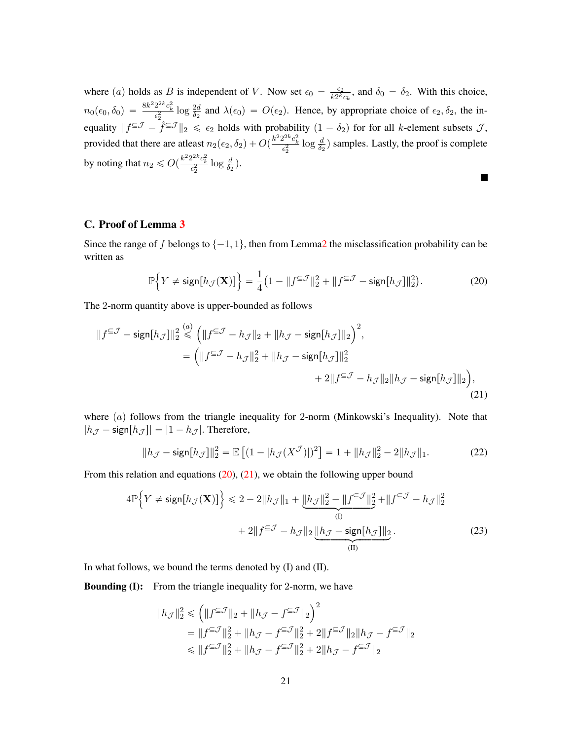where (a) holds as B is independent of V. Now set  $\epsilon_0 = \frac{\epsilon_2}{k_0 k}$  $\frac{\epsilon_2}{k2^k c_k}$ , and  $\delta_0 = \delta_2$ . With this choice,  $n_0(\epsilon_0, \delta_0) = \frac{8k^2 2^{2k} c_k^2}{\epsilon_2^2} \log \frac{2d}{\delta_2}$  and  $\lambda(\epsilon_0) = O(\epsilon_2)$ . Hence, by appropriate choice of  $\epsilon_2, \delta_2$ , the inequality  $||f^{ \subseteq \mathcal{J}} - \hat{f}^{ \subseteq \mathcal{J}}||_2 \leq \epsilon_2$  holds with probability  $(1 - \delta_2)$  for for all k-element subsets  $\mathcal{J}$ , provided that there are at east  $n_2(\epsilon_2, \delta_2) + O(\frac{k^2 2^{2k} c_k^2}{\epsilon_2^2} \log \frac{d}{\delta_2})$  samples. Lastly, the proof is complete by noting that  $n_2 \leq O(\frac{k^2 2^{2k} c_k^2}{\epsilon_2^2} \log \frac{d}{\delta_2}).$  $\blacksquare$ 

# <span id="page-20-0"></span>C. Proof of Lemma [3](#page-11-2)

Since the range of f belongs to  $\{-1, 1\}$ , then from Lemm[a2](#page-10-4) the misclassification probability can be written as

<span id="page-20-1"></span>
$$
\mathbb{P}\Big\{Y \neq \text{sign}[h_{\mathcal{J}}(\mathbf{X})]\Big\} = \frac{1}{4}\big(1 - \|f^{\subseteq \mathcal{J}}\|_{2}^{2} + \|f^{\subseteq \mathcal{J}} - \text{sign}[h_{\mathcal{J}}]\|_{2}^{2}\big). \tag{20}
$$

The 2-norm quantity above is upper-bounded as follows

$$
||f^{\subseteq \mathcal{J}} - \operatorname{sign}[h_{\mathcal{J}}]||_2^2 \stackrel{(a)}{\leq} \left(||f^{\subseteq \mathcal{J}} - h_{\mathcal{J}}||_2 + ||h_{\mathcal{J}} - \operatorname{sign}[h_{\mathcal{J}}]||_2\right)^2,
$$
  
\n
$$
= \left(||f^{\subseteq \mathcal{J}} - h_{\mathcal{J}}||_2^2 + ||h_{\mathcal{J}} - \operatorname{sign}[h_{\mathcal{J}}]||_2^2 + 2||f^{\subseteq \mathcal{J}} - h_{\mathcal{J}}||_2||h_{\mathcal{J}} - \operatorname{sign}[h_{\mathcal{J}}]||_2\right),
$$
\n(21)

where  $(a)$  follows from the triangle inequality for 2-norm (Minkowski's Inequality). Note that  $|h_{\mathcal{J}} - \text{sign}[h_{\mathcal{J}}]| = |1 - h_{\mathcal{J}}|$ . Therefore,

<span id="page-20-3"></span>
$$
||h_{\mathcal{J}} - \mathsf{sign}[h_{\mathcal{J}}]||_2^2 = \mathbb{E}\left[ (1 - |h_{\mathcal{J}}(X^{\mathcal{J}})|)^2 \right] = 1 + ||h_{\mathcal{J}}||_2^2 - 2||h_{\mathcal{J}}||_1.
$$
 (22)

From this relation and equations  $(20)$ ,  $(21)$ , we obtain the following upper bound

$$
4\mathbb{P}\Big\{Y \neq \text{sign}[h_{\mathcal{J}}(\mathbf{X})]\Big\} \leq 2 - 2\|h_{\mathcal{J}}\|_{1} + \underbrace{\|h_{\mathcal{J}}\|_{2}^{2} - \|f^{\subseteq \mathcal{J}}\|_{2}^{2}}_{(I)} + \|f^{\subseteq \mathcal{J}} - h_{\mathcal{J}}\|_{2}^{2} + \|f^{\subseteq \mathcal{J}} - h_{\mathcal{J}}\|_{2}^{2}}_{(II)} + 2\|f^{\subseteq \mathcal{J}} - h_{\mathcal{J}}\|_{2} \underbrace{\|h_{\mathcal{J}} - \text{sign}[h_{\mathcal{J}}]\|_{2}}_{(II)}.
$$
\n(23)

In what follows, we bound the terms denoted by (I) and (II).

**Bounding (I):** From the triangle inequality for 2-norm, we have

<span id="page-20-2"></span>
$$
\begin{aligned} \|h_{\mathcal{J}}\|_2^2 &\leqslant \left(\|f^{\subseteq\mathcal{J}}\|_2+\|h_{\mathcal{J}}-f^{\subseteq\mathcal{J}}\|_2\right)^2\\ &=\|f^{\subseteq\mathcal{J}}\|_2^2+\|h_{\mathcal{J}}-f^{\subseteq\mathcal{J}}\|_2^2+2\|f^{\subseteq\mathcal{J}}\|_2\|h_{\mathcal{J}}-f^{\subseteq\mathcal{J}}\|_2\\ &\leqslant \|f^{\subseteq\mathcal{J}}\|_2^2+\|h_{\mathcal{J}}-f^{\subseteq\mathcal{J}}\|_2^2+2\|h_{\mathcal{J}}-f^{\subseteq\mathcal{J}}\|_2 \end{aligned}
$$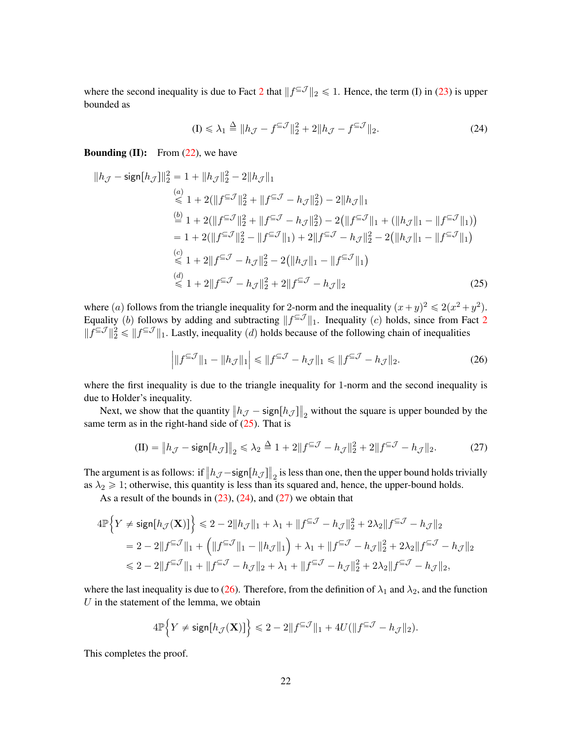where the second inequality is due to Fact [2](#page-14-4) that  $||f^{\subseteq \mathcal{J}}||_2 \le 1$ . Hence, the term (I) in [\(23\)](#page-20-2) is upper bounded as

<span id="page-21-0"></span>
$$
(I) \leq \lambda_1 \stackrel{\Delta}{=} \|h_{\mathcal{J}} - f^{\subseteq \mathcal{J}}\|_2^2 + 2\|h_{\mathcal{J}} - f^{\subseteq \mathcal{J}}\|_2. \tag{24}
$$

**Bounding (II):** From  $(22)$ , we have

$$
||h_{\mathcal{J}} - \mathsf{sign}[h_{\mathcal{J}}]||_2^2 = 1 + ||h_{\mathcal{J}}||_2^2 - 2||h_{\mathcal{J}}||_1
$$
  
\n
$$
\stackrel{(a)}{\leq} 1 + 2(||f^{\subseteq \mathcal{J}}||_2^2 + ||f^{\subseteq \mathcal{J}} - h_{\mathcal{J}}||_2^2) - 2||h_{\mathcal{J}}||_1
$$
  
\n
$$
\stackrel{(b)}{=} 1 + 2(||f^{\subseteq \mathcal{J}}||_2^2 + ||f^{\subseteq \mathcal{J}} - h_{\mathcal{J}}||_2^2) - 2(||f^{\subseteq \mathcal{J}}||_1 + (||h_{\mathcal{J}}||_1 - ||f^{\subseteq \mathcal{J}}||_1))
$$
  
\n
$$
= 1 + 2(||f^{\subseteq \mathcal{J}}||_2^2 - ||f^{\subseteq \mathcal{J}}||_1) + 2||f^{\subseteq \mathcal{J}} - h_{\mathcal{J}}||_2^2 - 2(||h_{\mathcal{J}}||_1 - ||f^{\subseteq \mathcal{J}}||_1)
$$
  
\n
$$
\stackrel{(c)}{\leq} 1 + 2||f^{\subseteq \mathcal{J}} - h_{\mathcal{J}}||_2^2 - 2(||h_{\mathcal{J}}||_1 - ||f^{\subseteq \mathcal{J}}||_1)
$$
  
\n
$$
\stackrel{(d)}{\leq} 1 + 2||f^{\subseteq \mathcal{J}} - h_{\mathcal{J}}||_2^2 + 2||f^{\subseteq \mathcal{J}} - h_{\mathcal{J}}||_2
$$
\n(25)

where (*a*) follows from the triangle inequality for 2-norm and the inequality  $(x+y)^2 \leq 2(x^2+y^2)$ . Equality (b) follows by adding and subtracting  $||f^{\subseteq \mathcal{J}}||_1$ . Inequality (c) holds, since from Fact [2](#page-14-4)  $||f^{\subseteq \mathcal{J}}||_2^2 \le ||f^{\subseteq \mathcal{J}}||_1$ . Lastly, inequality (d) holds because of the following chain of inequalities

<span id="page-21-2"></span><span id="page-21-1"></span>
$$
\left| \|f^{\subseteq \mathcal{J}}\|_{1} - \|h_{\mathcal{J}}\|_{1} \right| \le \|f^{\subseteq \mathcal{J}} - h_{\mathcal{J}}\|_{1} \le \|f^{\subseteq \mathcal{J}} - h_{\mathcal{J}}\|_{2}.
$$
\n(26)

where the first inequality is due to the triangle inequality for 1-norm and the second inequality is due to Holder's inequality.

Next, we show that the quantity  $||h_{\mathcal{J}} - \text{sign}[h_{\mathcal{J}}]||$  $_2$  without the square is upper bounded by the same term as in the right-hand side of  $(25)$ . That is

$$
\text{(II)} = \left\| h_{\mathcal{J}} - \text{sign}[h_{\mathcal{J}}] \right\|_2 \le \lambda_2 \stackrel{\Delta}{=} 1 + 2 \left\| f^{\subseteq \mathcal{J}} - h_{\mathcal{J}} \right\|_2^2 + 2 \left\| f^{\subseteq \mathcal{J}} - h_{\mathcal{J}} \right\|_2. \tag{27}
$$

The argument is as follows: if  $||h_{\mathcal{J}} - \text{sign}[h_{\mathcal{J}}]||$  $_2$  is less than one, then the upper bound holds trivially as  $\lambda_2 \geq 1$ ; otherwise, this quantity is less than its squared and, hence, the upper-bound holds.

As a result of the bounds in  $(23)$ ,  $(24)$ , and  $(27)$  we obtain that

$$
4\mathbb{P}\Big\{Y \neq \text{sign}[h_{\mathcal{J}}(\mathbf{X})]\Big\} \leq 2 - 2\|h_{\mathcal{J}}\|_{1} + \lambda_{1} + \|f^{\subseteq \mathcal{J}} - h_{\mathcal{J}}\|_{2}^{2} + 2\lambda_{2}\|f^{\subseteq \mathcal{J}} - h_{\mathcal{J}}\|_{2}
$$
  
= 2 - 2\|f^{\subseteq \mathcal{J}}\|\_{1} + \left(\|f^{\subseteq \mathcal{J}}\|\_{1} - \|h\_{\mathcal{J}}\|\_{1}\right) + \lambda\_{1} + \|f^{\subseteq \mathcal{J}} - h\_{\mathcal{J}}\|\_{2}^{2} + 2\lambda\_{2}\|f^{\subseteq \mathcal{J}} - h\_{\mathcal{J}}\|\_{2}  

$$
\leq 2 - 2\|f^{\subseteq \mathcal{J}}\|_{1} + \|f^{\subseteq \mathcal{J}} - h_{\mathcal{J}}\|_{2} + \lambda_{1} + \|f^{\subseteq \mathcal{J}} - h_{\mathcal{J}}\|_{2}^{2} + 2\lambda_{2}\|f^{\subseteq \mathcal{J}} - h_{\mathcal{J}}\|_{2},
$$

where the last inequality is due to [\(26\)](#page-21-2). Therefore, from the definition of  $\lambda_1$  and  $\lambda_2$ , and the function  $U$  in the statement of the lemma, we obtain

$$
4\mathbb{P}\Big\{Y\neq \text{sign}\big[h_{\mathcal{J}}(\mathbf{X})\big]\Big\}\leqslant 2-2\|f^{\subseteq\mathcal{J}}\|_1+4U(\|f^{\subseteq\mathcal{J}}-h_{\mathcal{J}}\|_2).
$$

This completes the proof.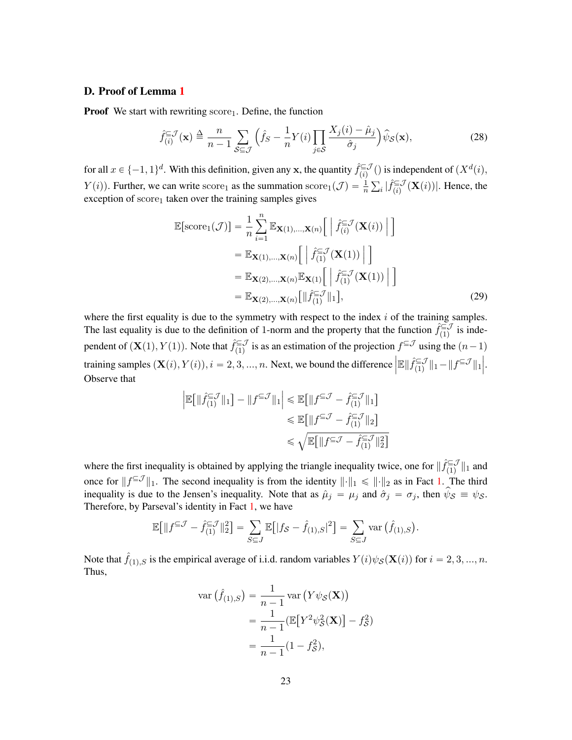# <span id="page-22-0"></span>D. Proof of Lemma [1](#page-9-2)

**Proof** We start with rewriting  $score_1$ . Define, the function

$$
\hat{f}_{(i)}^{\subseteq \mathcal{J}}(\mathbf{x}) \triangleq \frac{n}{n-1} \sum_{\mathcal{S} \subseteq \mathcal{J}} \left( \hat{f}_{\mathcal{S}} - \frac{1}{n} Y(i) \prod_{j \in \mathcal{S}} \frac{X_j(i) - \hat{\mu}_j}{\hat{\sigma}_j} \right) \hat{\psi}_{\mathcal{S}}(\mathbf{x}),\tag{28}
$$

for all  $x \in \{-1, 1\}^d$ . With this definition, given any x, the quantity  $\hat{f}^{\subseteq \mathcal{J}}_{(i)}$  $\sum_{(i)}^{\subseteq J}$  () is independent of  $(X^d(i))$ ,  $Y(i)$ ). Further, we can write score<sub>1</sub> as the summation score<sub>1</sub>( $\mathcal{J}$ ) =  $\frac{1}{n} \sum_i |\hat{f}_{(i)}^{\in \mathcal{J}}|$  $\sum_{(i)}^{\in}$   $(X(i))$ . Hence, the exception of  $score<sub>1</sub>$  taken over the training samples gives

<span id="page-22-1"></span>
$$
\mathbb{E}[\text{score}_1(\mathcal{J})] = \frac{1}{n} \sum_{i=1}^n \mathbb{E}_{\mathbf{X}(1),\dots,\mathbf{X}(n)} \left[ \left| \hat{f}_{(i)}^{\subseteq \mathcal{J}}(\mathbf{X}(i)) \right| \right]
$$
  
\n
$$
= \mathbb{E}_{\mathbf{X}(1),\dots,\mathbf{X}(n)} \left[ \left| \hat{f}_{(1)}^{\subseteq \mathcal{J}}(\mathbf{X}(1)) \right| \right]
$$
  
\n
$$
= \mathbb{E}_{\mathbf{X}(2),\dots,\mathbf{X}(n)} \mathbb{E}_{\mathbf{X}(1)} \left[ \left| \hat{f}_{(1)}^{\subseteq \mathcal{J}}(\mathbf{X}(1)) \right| \right]
$$
  
\n
$$
= \mathbb{E}_{\mathbf{X}(2),\dots,\mathbf{X}(n)} \left[ \left| \hat{f}_{(1)}^{\subseteq \mathcal{J}} \right| \right], \tag{29}
$$

where the first equality is due to the symmetry with respect to the index  $i$  of the training samples. The last equality is due to the definition of 1-norm and the property that the function  $\hat{f}_{(1)}^{\subseteq J}$  $\sum_{(1)}^{\infty}$  is independent of  $(\mathbf{X}(1), Y(1))$ . Note that  $\hat{f}_{(1)}^{\subseteq \mathcal{J}}$  $\sum_{(1)}^{\infty}$  is as an estimation of the projection  $f^{\subseteq J}$  using the  $(n-1)$ training samples  $(\mathbf{X}(i), Y(i)), i = 2, 3, ..., n$ . Next, we bound the difference  $\Vert \mathbb{E} \Vert \hat{f}^{\subseteq \mathcal{J}}_{\perp}$  $\left\langle \begin{array}{c}\xi \in \mathcal{J} \\ (1) \end{array} \right\vert \left\vert 1 - \right\vert \left\vert f \right\vert \leq \mathcal{J} \left\vert \left\vert 1 \right\vert.$ Observe that

$$
\begin{aligned} \left| \mathbb{E} \big[ \| \hat{f}_{(1)}^{\subseteq \mathcal{J}} \|_1 \big] - \| f^{\subseteq \mathcal{J}} \|_1 \right| &\leqslant \mathbb{E} \big[ \| f^{\subseteq \mathcal{J}} - \hat{f}_{(1)}^{\subseteq \mathcal{J}} \|_1 \big] \\ &\leqslant \mathbb{E} \big[ \| f^{\subseteq \mathcal{J}} - \hat{f}_{(1)}^{\subseteq \mathcal{J}} \|_2 \big] \\ &\leqslant \sqrt{ \mathbb{E} \big[ \| f^{\subseteq \mathcal{J}} - \hat{f}_{(1)}^{\subseteq \mathcal{J}} \|_2^2 \big] } \end{aligned}
$$

where the first inequality is obtained by applying the triangle inequality twice, one for  $\|\hat{f}_{(1)}^{\subseteq \mathcal{J}}\|$  $\sum_{(1)}^{\subseteq J}$  ||1 and once for  $||f^{\subseteq \mathcal{J}}||_1$ . The second inequality is from the identity  $||\cdot||_1 \le ||\cdot||_2$  as in Fact [1.](#page-14-1) The third inequality is due to the Jensen's inequality. Note that as  $\hat{\mu}_j = \mu_j$  and  $\hat{\sigma}_j = \sigma_j$ , then  $\hat{\psi}_{\mathcal{S}} \equiv \psi_{\mathcal{S}}$ . Therefore, by Parseval's identity in Fact [1,](#page-14-1) we have ÿ

$$
\mathbb{E}\big[\|f^{\subseteq \mathcal{J}} - \hat{f}_{(1)}^{\subseteq \mathcal{J}}\|_2^2\big] = \sum_{S \subseteq J} \mathbb{E}\big[|f_S - \hat{f}_{(1),S}|^2\big] = \sum_{S \subseteq J} \text{var} \big(\hat{f}_{(1),S}\big).
$$

Note that  $\hat{f}_{(1),S}$  is the empirical average of i.i.d. random variables  $Y(i)\psi_{\mathcal{S}}(\mathbf{X}(i))$  for  $i = 2, 3, ..., n$ . Thus,

$$
\begin{aligned} \text{var}\left(\hat{f}_{(1),S}\right) &= \frac{1}{n-1} \text{var}\left(Y\psi_{\mathcal{S}}(\mathbf{X})\right) \\ &= \frac{1}{n-1} \left(\mathbb{E}\big[Y^2 \psi_{\mathcal{S}}^2(\mathbf{X})\big] - f_{\mathcal{S}}^2\right) \\ &= \frac{1}{n-1} (1 - f_{\mathcal{S}}^2), \end{aligned}
$$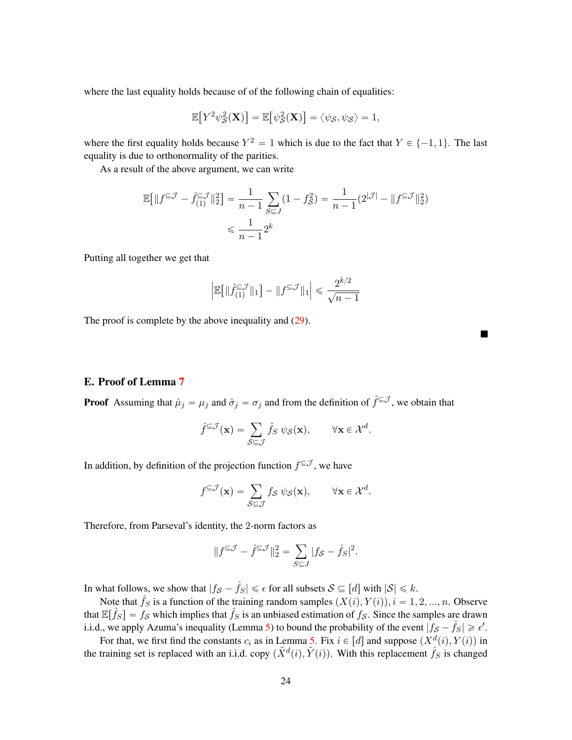where the last equality holds because of of the following chain of equalities:

$$
\mathbb{E}[Y^2\psi_{\mathcal{S}}^2(\mathbf{X})] = \mathbb{E}[\psi_{\mathcal{S}}^2(\mathbf{X})] = \langle \psi_{\mathcal{S}}, \psi_{\mathcal{S}} \rangle = 1,
$$

where the first equality holds because  $Y^2 = 1$  which is due to the fact that  $Y \in \{-1, 1\}$ . The last equality is due to orthonormality of the parities.

As a result of the above argument, we can write

$$
\mathbb{E}\big[\|f^{\subseteq \mathcal{J}} - \hat{f}_{(1)}^{\subseteq \mathcal{J}}\|_{2}^{2}\big] = \frac{1}{n-1} \sum_{S \subseteq J} (1 - f_{S}^{2}) = \frac{1}{n-1} (2^{|\mathcal{J}|} - \|f^{\subseteq \mathcal{J}}\|_{2}^{2})
$$

$$
\leq \frac{1}{n-1} 2^{k}
$$

Putting all together we get that

$$
\Big|\mathbb{E}\big[\|\hat f_{(1)}^{\subseteq \mathcal{J}}\|_1\big]-\|f^{\subseteq \mathcal{J}}\|_1\Big|\leqslant \frac{2^{k/2}}{\sqrt{n-1}}
$$

 $\blacksquare$ 

The proof is complete by the above inequality and  $(29)$ .

# <span id="page-23-0"></span>E. Proof of Lemma [7](#page-13-1)

**Proof** Assuming that  $\hat{\mu}_j = \mu_j$  and  $\hat{\sigma}_j = \sigma_j$  and from the definition of  $\hat{f} \in \mathcal{J}$ , we obtain that

$$
\hat{f}^{\subseteq \mathcal{J}}(\mathbf{x}) = \sum_{\mathcal{S} \subseteq \mathcal{J}} \hat{f}_{\mathcal{S}} \psi_{\mathcal{S}}(\mathbf{x}), \qquad \forall \mathbf{x} \in \mathcal{X}^d.
$$

In addition, by definition of the projection function  $f^{\subseteq \mathcal{J}}$ , we have

$$
f^{\subseteq \mathcal{J}}(\mathbf{x}) = \sum_{\mathcal{S} \subseteq \mathcal{J}} f_{\mathcal{S}} \psi_{\mathcal{S}}(\mathbf{x}), \qquad \forall \mathbf{x} \in \mathcal{X}^d.
$$

Therefore, from Parseval's identity, the 2-norm factors as

$$
||f^{\subseteq \mathcal{J}} - \hat{f}^{\subseteq \mathcal{J}}||_2^2 = \sum_{S \subseteq J} |f_S - \hat{f}_S|^2.
$$

In what follows, we show that  $|f_S - \hat{f}_S| \leq \epsilon$  for all subsets  $S \subseteq [d]$  with  $|S| \leq k$ .

Note that  $\hat{f}_S$  is a function of the training random samples  $(X(i), Y(i)), i = 1, 2, ..., n$ . Observe that  $\mathbb{E}[\hat{f}_S] = f_{\mathcal{S}}$  which implies that  $\hat{f}_S$  is an unbiased estimation of  $f_{\mathcal{S}}$ . Since the samples are drawn i.i.d., we apply Azuma's inequality (Lemma [5\)](#page-12-2) to bound the probability of the event  $|\hat{f}_s - \hat{f}_s| \geq \epsilon'$ .

For that, we first find the constants  $c_i$  as in Lemma [5.](#page-12-2) Fix  $i \in [d]$  and suppose  $(X^d(i), Y(i))$  in the training set is replaced with an i.i.d. copy  $(\tilde{X}^d(i), \tilde{Y}(i))$ . With this replacement  $\hat{f}_S$  is changed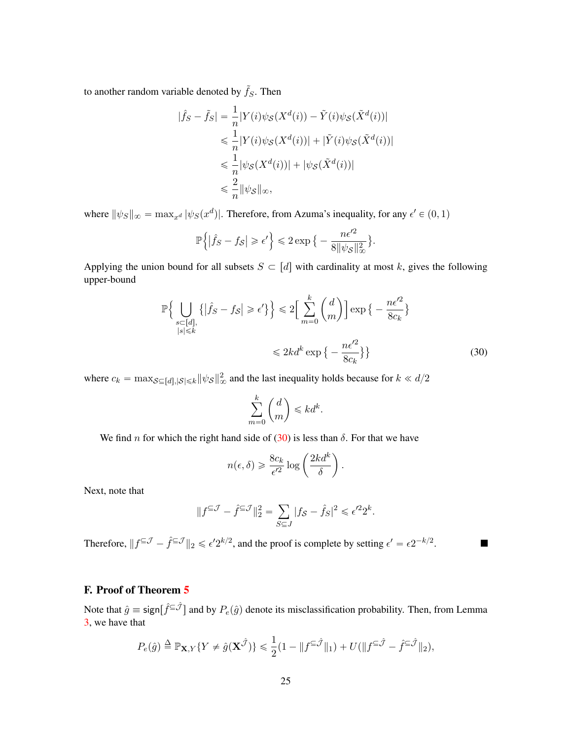to another random variable denoted by  $\tilde{f}_S$ . Then

$$
|\hat{f}_S - \tilde{f}_S| = \frac{1}{n} |Y(i)\psi_{\mathcal{S}}(X^d(i)) - \tilde{Y}(i)\psi_{\mathcal{S}}(\tilde{X}^d(i))|
$$
  

$$
\leq \frac{1}{n} |Y(i)\psi_{\mathcal{S}}(X^d(i))| + |\tilde{Y}(i)\psi_{\mathcal{S}}(\tilde{X}^d(i))|
$$
  

$$
\leq \frac{1}{n} |\psi_{\mathcal{S}}(X^d(i))| + |\psi_{\mathcal{S}}(\tilde{X}^d(i))|
$$
  

$$
\leq \frac{2}{n} ||\psi_{\mathcal{S}}||_{\infty},
$$

where  $\|\psi_S\|_{\infty} = \max_{x^d} |\psi_S(x^d)|$ . Therefore, from Azuma's inequality, for any  $\epsilon' \in (0, 1)$ 

$$
\mathbb{P}\left\{ |\hat{f}_S - f_{\mathcal{S}}| \geqslant \epsilon' \right\} \leqslant 2 \exp\big\{ - \frac{n\epsilon'^2}{8 \|\psi_{\mathcal{S}}\|_{\infty}^2} \big\}.
$$

Applying the union bound for all subsets  $S \subset [d]$  with cardinality at most k, gives the following upper-bound

$$
\mathbb{P}\Big\{\bigcup_{\substack{s\subset [d],\\|s|\leq k}}\{|\hat{f}_S - f_S| \geqslant \epsilon'\}\Big\} \leqslant 2\Big[\sum_{m=0}^k \binom{d}{m}\Big] \exp\big\{-\frac{n\epsilon'^2}{8c_k}\big\}
$$
\n
$$
\leqslant 2kd^k \exp\big\{-\frac{n\epsilon'^2}{8c_k}\big\}\Big\}\tag{30}
$$

<span id="page-24-1"></span>П

where  $c_k = \max_{\mathcal{S} \subseteq [d], |\mathcal{S}| \leq k} ||\psi_{\mathcal{S}}||^2_{\infty}$  and the last inequality holds because for  $k \ll d/2$ 

$$
\sum_{m=0}^{k} \binom{d}{m} \leqslant kd^k.
$$

We find n for which the right hand side of  $(30)$  is less than  $\delta$ . For that we have

$$
n(\epsilon, \delta) \geq \frac{8c_k}{\epsilon'^2} \log \left(\frac{2kd^k}{\delta}\right).
$$

Next, note that

$$
||f^{\subseteq \mathcal{J}} - \hat{f}^{\subseteq \mathcal{J}}||_2^2 = \sum_{S \subseteq J} |f_S - \hat{f}_S|^2 \leq \epsilon'^2 2^k.
$$

Therefore,  $||f^{\subseteq \mathcal{J}} - \hat{f}^{\subseteq \mathcal{J}}||_2 \leq \epsilon' 2^{k/2}$ , and the proof is complete by setting  $\epsilon' = \epsilon 2^{-k/2}$ .

# <span id="page-24-0"></span>F. Proof of Theorem [5](#page-8-1)

Note that  $\hat{g} \equiv \text{sign}[\hat{f}^{\subseteq \hat{J}}]$  and by  $P_e(\hat{g})$  denote its misclassification probability. Then, from Lemma [3,](#page-11-2) we have that

$$
P_e(\hat{g}) \triangleq \mathbb{P}_{\mathbf{X},Y} \{ Y \neq \hat{g}(\mathbf{X}^{\hat{\mathcal{J}}}) \} \leq \frac{1}{2} (1 - \| f^{\subseteq \hat{\mathcal{J}}} \|_1) + U(\| f^{\subseteq \hat{\mathcal{J}}} - \hat{f}^{\subseteq \hat{\mathcal{J}}} \|_2),
$$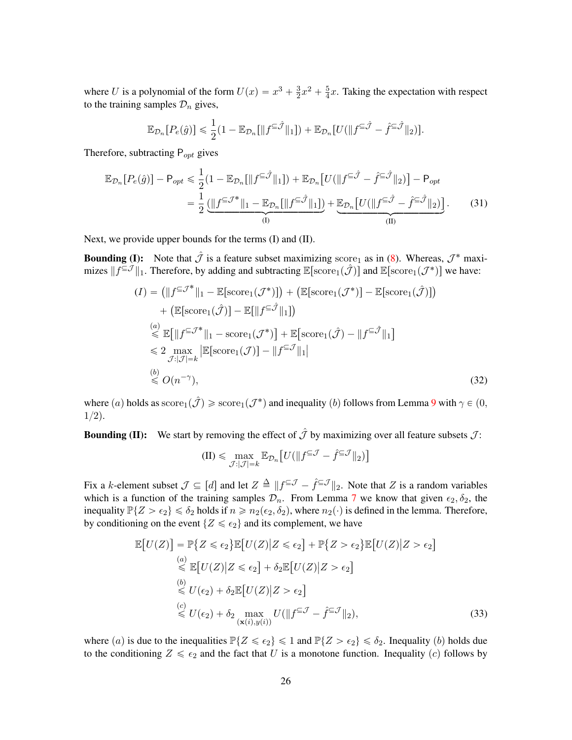where U is a polynomial of the form  $U(x) = x^3 + \frac{3}{2}$  $\frac{3}{2}x^2 + \frac{5}{4}$  $\frac{5}{4}x$ . Taking the expectation with respect to the training samples  $\mathcal{D}_n$  gives,

$$
\mathbb{E}_{\mathcal{D}_n}[P_e(\hat{g})] \leq \frac{1}{2}(1 - \mathbb{E}_{\mathcal{D}_n}[\|f^{\subseteq \hat{\mathcal{J}}}\|_1]) + \mathbb{E}_{\mathcal{D}_n}[U(\|f^{\subseteq \hat{\mathcal{J}}} - \hat{f}^{\subseteq \hat{\mathcal{J}}}\|_2)].
$$

Therefore, subtracting  $P_{opt}$  gives

$$
\mathbb{E}_{\mathcal{D}_n}[P_e(\hat{g})] - \mathsf{P}_{opt} \leq \frac{1}{2} (1 - \mathbb{E}_{\mathcal{D}_n}[\|f^{\subseteq \hat{\mathcal{J}}}\|_1]) + \mathbb{E}_{\mathcal{D}_n}[U(\|f^{\subseteq \hat{\mathcal{J}}} - \hat{f}^{\subseteq \hat{\mathcal{J}}}\|_2)] - \mathsf{P}_{opt}
$$
  
\n
$$
= \frac{1}{2} \underbrace{(\|f^{\subseteq \hat{\mathcal{J}}^*}\|_1 - \mathbb{E}_{\mathcal{D}_n}[\|f^{\subseteq \hat{\mathcal{J}}}\|_1])}_{(I)} + \underbrace{\mathbb{E}_{\mathcal{D}_n}[U(\|f^{\subseteq \hat{\mathcal{J}}} - \hat{f}^{\subseteq \hat{\mathcal{J}}}\|_2)]}_{(II)}.
$$
 (31)

Next, we provide upper bounds for the terms (I) and (II).

**Bounding (I):** Note that  $\hat{\mathcal{J}}$  is a feature subset maximizing score<sub>1</sub> as in [\(8\)](#page-9-0). Whereas,  $\mathcal{J}^*$  maximizes  $||f^{\subseteq \mathcal{J}}||_1$ . Therefore, by adding and subtracting  $\mathbb{E}[\text{score}_1(\hat{\mathcal{J}})]$  and  $\mathbb{E}[\text{score}_1(\mathcal{J}^*)]$  we have:

$$
(I) = (||f^{\subseteq \mathcal{J}^*}||_1 - \mathbb{E}[\text{score}_1(\mathcal{J}^*)]) + (\mathbb{E}[\text{score}_1(\mathcal{J}^*)] - \mathbb{E}[\text{score}_1(\hat{\mathcal{J}})]
$$
  
+  $(\mathbb{E}[\text{score}_1(\hat{\mathcal{J}})] - \mathbb{E}[||f^{\subseteq \hat{\mathcal{J}}}||_1])$   
 $\stackrel{(a)}{\leq} \mathbb{E}[||f^{\subseteq \mathcal{J}^*}||_1 - \text{score}_1(\mathcal{J}^*)] + \mathbb{E}[\text{score}_1(\hat{\mathcal{J}}) - ||f^{\subseteq \hat{\mathcal{J}}}||_1]$   
 $\leq 2 \max_{\mathcal{J}:|\mathcal{J}|=k} |\mathbb{E}[\text{score}_1(\mathcal{J})] - ||f^{\subseteq \mathcal{J}}||_1|$   
 $\stackrel{(b)}{\leq} O(n^{-\gamma}),$  (32)

where  $(a)$  holds as  $\mathrm{score}_1(\hat{\mathcal{J}}) \geqslant \mathrm{score}_1(\mathcal{J}^*)$  and inequality  $(b)$  follows from Lemma [9](#page-16-0) with  $\gamma \in (0,1]$  $1/2$ ).

**Bounding (II):** We start by removing the effect of  $\hat{\mathcal{J}}$  by maximizing over all feature subsets  $\mathcal{J}$ :

$$
(II) \leqslant \max_{\mathcal{J}:|\mathcal{J}|=k} \mathbb{E}_{\mathcal{D}_n} \big[ U(||f^{\subseteq \mathcal{J}} - \hat{f}^{\subseteq \mathcal{J}}||_2) \big]
$$

Fix a k-element subset  $\mathcal{J} \subseteq [d]$  and let  $Z \triangleq ||f^{\subseteq \mathcal{J}} - \hat{f}^{\subseteq \mathcal{J}}||_2$ . Note that Z is a random variables which is a function of the training samples  $\mathcal{D}_n$ . From Lemma [7](#page-13-1) we know that given  $\epsilon_2, \delta_2$ , the inequality  $\mathbb{P}{Z > \epsilon_2} \le \delta_2$  holds if  $n \ge n_2(\epsilon_2, \delta_2)$ , where  $n_2(\cdot)$  is defined in the lemma. Therefore, by conditioning on the event  $\{Z \leq \epsilon_2\}$  and its complement, we have

$$
\mathbb{E}\left[U(Z)\right] = \mathbb{P}\left\{Z \leq \epsilon_2\right\} \mathbb{E}\left[U(Z)|Z \leq \epsilon_2\right] + \mathbb{P}\left\{Z > \epsilon_2\right\} \mathbb{E}\left[U(Z)|Z > \epsilon_2\right]
$$
\n
$$
\stackrel{(a)}{\leq} \mathbb{E}\left[U(Z)|Z \leq \epsilon_2\right] + \delta_2 \mathbb{E}\left[U(Z)|Z > \epsilon_2\right]
$$
\n
$$
\stackrel{(b)}{\leq} U(\epsilon_2) + \delta_2 \mathbb{E}\left[U(Z)|Z > \epsilon_2\right]
$$
\n
$$
\stackrel{(c)}{\leq} U(\epsilon_2) + \delta_2 \max_{(\mathbf{x}(i), y(i))} U(\|f^{\subseteq \mathcal{J}} - \hat{f}^{\subseteq \mathcal{J}}\|_2),
$$
\n(33)

where (a) is due to the inequalities  $\mathbb{P}\{Z \leq \epsilon_2\} \leq 1$  and  $\mathbb{P}\{Z > \epsilon_2\} \leq \delta_2$ . Inequality (b) holds due to the conditioning  $Z \leq \epsilon_2$  and the fact that U is a monotone function. Inequality (c) follows by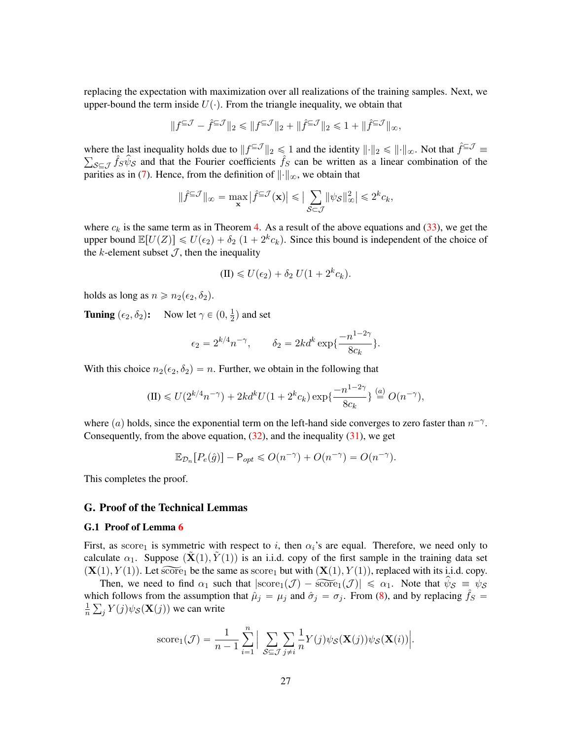replacing the expectation with maximization over all realizations of the training samples. Next, we upper-bound the term inside  $U(\cdot)$ . From the triangle inequality, we obtain that

$$
||f^{\subseteq \mathcal{J}} - \hat{f}^{\subseteq \mathcal{J}}||_2 \le ||f^{\subseteq \mathcal{J}}||_2 + ||\hat{f}^{\subseteq \mathcal{J}}||_2 \le 1 + ||\hat{f}^{\subseteq \mathcal{J}}||_{\infty},
$$

where the last inequality holds due to  $||f^{c}||_2 \le 1$  and the identity  $||\cdot||_2 \le ||\cdot||_{\infty}$ . Not that  $\hat{f}^{c} \mathcal{J} \equiv$  $s \in \mathcal{J}$   $\hat{f}_S \hat{\psi}_S$  and that the Fourier coefficients  $\hat{f}_S$  can be written as a linear combination of the parities as in [\(7\)](#page-9-1). Hence, from the definition of  $\|\cdot\|_{\infty}$ , we obtain that

$$
\|\hat f^{\subseteq \mathcal J}\|_\infty = \max_{\mathbf x} \big|\hat f^{\subseteq \mathcal J}(\mathbf x)\big| \leqslant \big|\sum_{\mathcal S \subseteq \mathcal J} \|\psi_{\mathcal S}\|_\infty^2\big| \leqslant 2^k c_k,
$$

where  $c_k$  is the same term as in Theorem [4.](#page-8-0) As a result of the above equations and [\(33\)](#page-24-0), we get the upper bound  $\mathbb{E}[U(Z)] \le U(\epsilon_2) + \delta_2 (1 + 2^k c_k)$ . Since this bound is independent of the choice of the k-element subset  $J$ , then the inequality

$$
(II) \leq U(\epsilon_2) + \delta_2 U(1 + 2^k c_k).
$$

holds as long as  $n \geq n_2(\epsilon_2, \delta_2)$ .

**Tuning**  $(\epsilon_2, \delta_2)$ : Now let  $\gamma \in (0, \frac{1}{2})$  $\frac{1}{2}$ ) and set

$$
\epsilon_2 = 2^{k/4} n^{-\gamma}, \qquad \delta_2 = 2kd^k \exp\{\frac{-n^{1-2\gamma}}{8c_k}\}.
$$

With this choice  $n_2(\epsilon_2, \delta_2) = n$ . Further, we obtain in the following that

$$
(II) \le U(2^{k/4}n^{-\gamma}) + 2kd^k U(1 + 2^k c_k) \exp\left\{\frac{-n^{1-2\gamma}}{8c_k}\right\} \stackrel{(a)}{=} O(n^{-\gamma}),
$$

where (a) holds, since the exponential term on the left-hand side converges to zero faster than  $n^{-\gamma}$ . Consequently, from the above equation,  $(32)$ , and the inequality  $(31)$ , we get

$$
\mathbb{E}_{\mathcal{D}_n}[P_e(\hat{g})] - \mathsf{P}_{opt} \leqslant O(n^{-\gamma}) + O(n^{-\gamma}) = O(n^{-\gamma}).
$$

This completes the proof.

#### G. Proof of the Technical Lemmas

#### <span id="page-26-0"></span>G.1 Proof of Lemma [6](#page-12-3)

First, as score<sub>1</sub> is symmetric with respect to i, then  $\alpha_i$ 's are equal. Therefore, we need only to calculate  $\alpha_1$ . Suppose  $(\mathbf{X}(1), Y(1))$  is an i.i.d. copy of the first sample in the training data set  $(X(1), Y(1))$ . Let  $\widetilde{\text{score}}_1$  be the same as score<sub>1</sub> but with  $(X(1), Y(1))$ , replaced with its i.i.d. copy.

Then, we need to find  $\alpha_1$  such that  $|\text{score}_1(\mathcal{J}) - \overline{\text{score}}_1(\mathcal{J})| \leq \alpha_1$ . Note that  $\hat{\psi}_{\mathcal{S}} \equiv \psi_{\mathcal{S}}$ which follows from the assumption that  $\hat{\mu}_j = \mu_j$  and  $\hat{\sigma}_j = \sigma_j$ . From [\(8\)](#page-9-0), and by replacing  $\hat{f}_s$ 1  $\frac{1}{n} \sum_j Y(j) \psi_{\mathcal{S}}(\mathbf{X}(j))$  we can write

score<sub>1</sub>(
$$
\mathcal{J}
$$
) =  $\frac{1}{n-1} \sum_{i=1}^{n} \left| \sum_{\mathcal{S} \subseteq \mathcal{J}} \sum_{j \neq i} \frac{1}{n} Y(j) \psi_{\mathcal{S}}(\mathbf{X}(j)) \psi_{\mathcal{S}}(\mathbf{X}(i)) \right|$ .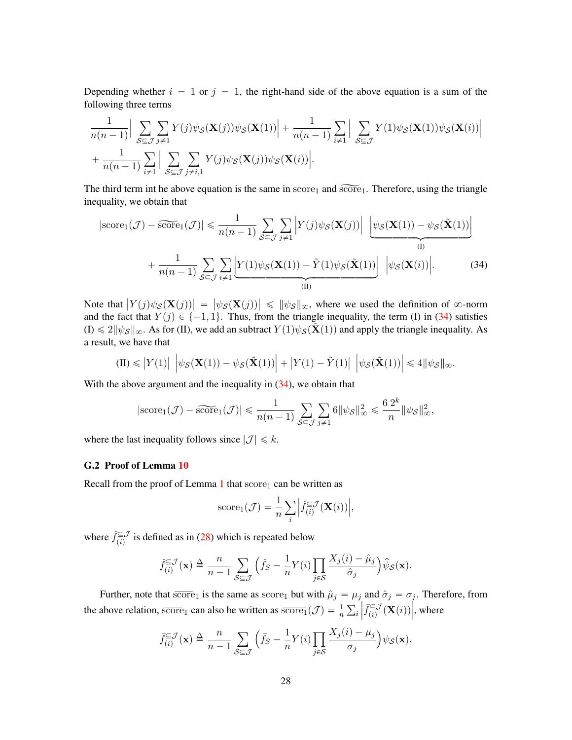Depending whether  $i = 1$  or  $j = 1$ , the right-hand side of the above equation is a sum of the following three terms

$$
\frac{1}{n(n-1)} \Big| \sum_{\mathcal{S} \subseteq \mathcal{J}} \sum_{j \neq 1} Y(j) \psi_{\mathcal{S}}(\mathbf{X}(j)) \psi_{\mathcal{S}}(\mathbf{X}(1)) \Big| + \frac{1}{n(n-1)} \sum_{i \neq 1} \Big| \sum_{\mathcal{S} \subseteq \mathcal{J}} Y(1) \psi_{\mathcal{S}}(\mathbf{X}(1)) \psi_{\mathcal{S}}(\mathbf{X}(i)) \Big| + \frac{1}{n(n-1)} \sum_{i \neq 1} \Big| \sum_{\mathcal{S} \subseteq \mathcal{J}} \sum_{j \neq i, 1} Y(j) \psi_{\mathcal{S}}(\mathbf{X}(j)) \psi_{\mathcal{S}}(\mathbf{X}(i)) \Big|.
$$

The third term int he above equation is the same in  $score_1$  and  $score_1$ . Therefore, using the triangle inequality, we obtain that

$$
|\text{score}_1(\mathcal{J}) - \widetilde{\text{score}}_1(\mathcal{J})| \le \frac{1}{n(n-1)} \sum_{\mathcal{S} \subseteq \mathcal{J}} \sum_{j \neq 1} \left| Y(j) \psi_{\mathcal{S}}(\mathbf{X}(j)) \right| \underbrace{\left| \psi_{\mathcal{S}}(\mathbf{X}(1)) - \psi_{\mathcal{S}}(\tilde{\mathbf{X}}(1)) \right|}_{(I)} + \frac{1}{n(n-1)} \sum_{\mathcal{S} \subseteq \mathcal{J}} \sum_{i \neq 1} \underbrace{\left| Y(1) \psi_{\mathcal{S}}(\mathbf{X}(1)) - \tilde{Y}(1) \psi_{\mathcal{S}}(\tilde{\mathbf{X}}(1)) \right|}_{(II)} \left| \psi_{\mathcal{S}}(\mathbf{X}(i)) \right|.
$$
 (34)

Note that  $\left| Y(j)\psi_{\mathcal{S}}(\mathbf{X}(j)) \right| = \left| \psi_{\mathcal{S}}(\mathbf{X}(j)) \right| \leq \|\psi_{\mathcal{S}}\|_{\infty}$ , where we used the definition of  $\infty$ -norm and the fact that  $Y(j) \in \{-1, 1\}$ . Thus, from the triangle inequality, the term (I) in [\(34\)](#page-26-0) satisfies  $(I) \leq 2||\psi_{\mathcal{S}}||_{\infty}$ . As for (II), we add an subtract  $Y(1)\psi_{\mathcal{S}}(\mathbf{X}(1))$  and apply the triangle inequality. As a result, we have that

$$
\text{(II)}\leqslant \left|Y(1)\right|\ \left|\psi_{\mathcal{S}}(\mathbf{X}(1))-\psi_{\mathcal{S}}(\tilde{\mathbf{X}}(1))\right|+\left|Y(1)-\tilde{Y}(1)\right|\ \left|\psi_{\mathcal{S}}(\tilde{\mathbf{X}}(1))\right|\leqslant 4\|\psi_{\mathcal{S}}\|_{\infty}.
$$

With the above argument and the inequality in  $(34)$ , we obtain that

$$
|\text{score}_1(\mathcal{J}) - \widetilde{\text{score}}_1(\mathcal{J})| \le \frac{1}{n(n-1)} \sum_{\mathcal{S} \subseteq \mathcal{J}} \sum_{j \neq 1} 6 \|\psi_{\mathcal{S}}\|_{\infty}^2 \le \frac{6 \, 2^k}{n} \|\psi_{\mathcal{S}}\|_{\infty}^2,
$$

where the last inequality follows since  $|\mathcal{J}| \leq k$ .

#### <span id="page-27-0"></span>G.2 Proof of Lemma [10](#page-17-1)

Recall from the proof of Lemma  $1$  that score<sub>1</sub> can be written as

score<sub>1</sub>(
$$
\mathcal{J}
$$
) =  $\frac{1}{n} \sum_{i} \left| \hat{f}_{(i)}^{\subseteq} \mathcal{J}(\mathbf{X}(i)) \right|$ ,

where  $\hat{f}_{(i)}^{\subseteq J}$  $\sum_{(i)}^{\infty}$  is defined as in [\(28\)](#page-22-1) which is repeated below

$$
\hat{f}_{(i)}^{\subseteq \mathcal{J}}(\mathbf{x}) \triangleq \frac{n}{n-1} \sum_{\mathcal{S} \subseteq \mathcal{J}} \left( \hat{f}_{\mathcal{S}} - \frac{1}{n} Y(i) \prod_{j \in \mathcal{S}} \frac{X_j(i) - \hat{\mu}_j}{\hat{\sigma}_j} \right) \hat{\psi}_{\mathcal{S}}(\mathbf{x}).
$$

Further, note that  $\overline{\text{score}}_1$  is the same as  $\text{score}_1$  but with  $\hat{\mu}_j = \mu_j$  and  $\hat{\sigma}_j = \sigma_j$ . Therefore, from the above relation, score<sub>1</sub> can also be written as  $\overline{\text{score}}_1(\mathcal{J}) = \frac{1}{n} \sum_i$  $\left| \overline{f}_{(i)}^{\subseteq} \mathcal{J} \right|$  $\widetilde{\epsilon}_{(i)}^{\subseteq {\cal J}}(\mathbf{X}(i))$  $\int$ , where

$$
\bar{f}_{(i)}^{\subseteq \mathcal{J}}(\mathbf{x}) \triangleq \frac{n}{n-1} \sum_{\mathcal{S} \subseteq \mathcal{J}} \left( \bar{f}_{\mathcal{S}} - \frac{1}{n} Y(i) \prod_{j \in \mathcal{S}} \frac{X_j(i) - \mu_j}{\sigma_j} \right) \psi_{\mathcal{S}}(\mathbf{x}),
$$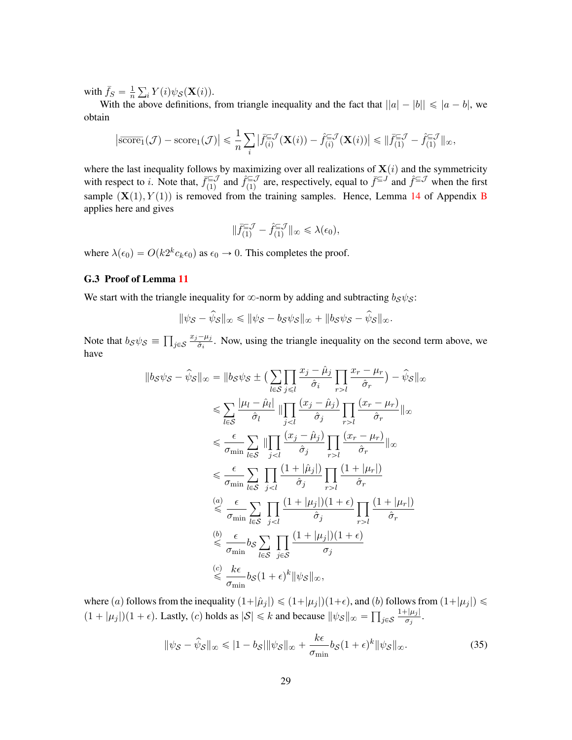with  $\bar{f}_S = \frac{1}{n}$  $\overline{n}$  $i Y(i) \psi_{\mathcal{S}}(\mathbf{X}(i)).$ 

With the above definitions, from triangle inequality and the fact that  $||a| - |b|| \leq |a - b|$ , we obtain

$$
\left|\widetilde{\text{score}}_1(\mathcal{J}) - \text{score}_1(\mathcal{J})\right| \leq \frac{1}{n} \sum_i \left|\widetilde{f}_{(i)}^{\subseteq \mathcal{J}}(\mathbf{X}(i)) - \widehat{f}_{(i)}^{\subseteq \mathcal{J}}(\mathbf{X}(i))\right| \leq \|\widetilde{f}_{(1)}^{\subseteq \mathcal{J}} - \widehat{f}_{(1)}^{\subseteq \mathcal{J}}\|_{\infty},
$$

where the last inequality follows by maximizing over all realizations of  $X(i)$  and the symmetricity with respect to *i*. Note that,  $\bar{f}_{(1)}^{\subseteq \mathcal{J}}$  $\hat{f}_{(1)}^{\subseteq} \mathcal{J}$  and  $\hat{f}_{(1)}^{\subseteq} \mathcal{J}$  $\sum_{(1)}^{\infty}$  are, respectively, equal to  $\bar{f} \subseteq J$  and  $\hat{f} \subseteq J$  when the first sample  $(X(1), Y(1))$  is removed from the training samples. Hence, Lemma [14](#page-19-1) of Appendix [B](#page-15-0) applies here and gives

$$
\|\bar{f}_{(1)}^{\subseteq \mathcal{J}} - \hat{f}_{(1)}^{\subseteq \mathcal{J}}\|_{\infty} \leq \lambda(\epsilon_0),
$$

where  $\lambda(\epsilon_0) = O(k2^k c_k \epsilon_0)$  as  $\epsilon_0 \to 0$ . This completes the proof.

### <span id="page-28-0"></span>G.3 Proof of Lemma [11](#page-17-0)

We start with the triangle inequality for  $\infty$ -norm by adding and subtracting  $b_S \psi_S$ :

$$
\|\psi_{\mathcal{S}} - \widehat{\psi}_{\mathcal{S}}\|_{\infty} \le \|\psi_{\mathcal{S}} - b_{\mathcal{S}}\psi_{\mathcal{S}}\|_{\infty} + \|b_{\mathcal{S}}\psi_{\mathcal{S}} - \widehat{\psi}_{\mathcal{S}}\|_{\infty}.
$$

Note that  $b_{\mathcal{S}}\psi_{\mathcal{S}} \equiv$  $j$ ∈ $\mathcal S$  $x_j - \mu_j$  $\frac{-\mu_j}{\hat{\sigma}_i}$ . Now, using the triangle inequality on the second term above, we have

$$
||b_S \psi_S - \hat{\psi}_S||_{\infty} = ||b_S \psi_S \pm \left(\sum_{l \in S} \prod_{j \leq l} \frac{x_j - \hat{\mu}_j}{\hat{\sigma}_i} \prod_{r > l} \frac{x_r - \mu_r}{\hat{\sigma}_r}\right) - \hat{\psi}_S||_{\infty}
$$
  
\n
$$
\leq \sum_{l \in S} \frac{|\mu_l - \hat{\mu}_l|}{\hat{\sigma}_l} || \prod_{j < l} \frac{(x_j - \hat{\mu}_j)}{\hat{\sigma}_j} \prod_{r > l} \frac{(x_r - \mu_r)}{\hat{\sigma}_r} ||_{\infty}
$$
  
\n
$$
\leq \frac{\epsilon}{\sigma_{\min}} \sum_{l \in S} || \prod_{j < l} \frac{(x_j - \hat{\mu}_j)}{\hat{\sigma}_j} \prod_{r > l} \frac{(x_r - \mu_r)}{\hat{\sigma}_r} ||_{\infty}
$$
  
\n
$$
\leq \frac{\epsilon}{\sigma_{\min}} \sum_{l \in S} \prod_{j < l} \frac{(1 + |\hat{\mu}_j|)}{\hat{\sigma}_j} \prod_{r > l} \frac{(1 + |\mu_r|)}{\hat{\sigma}_r}
$$
  
\n
$$
\stackrel{(a)}{\leq} \frac{\epsilon}{\sigma_{\min}} \sum_{l \in S} \prod_{j < l} \frac{(1 + |\mu_j|)(1 + \epsilon)}{\hat{\sigma}_j} \prod_{r > l} \frac{(1 + |\mu_r|)}{\hat{\sigma}_r}
$$
  
\n
$$
\stackrel{(b)}{\leq} \frac{\epsilon}{\sigma_{\min}} b_S \sum_{l \in S} \prod_{j \in S} \frac{(1 + |\mu_j|)(1 + \epsilon)}{\sigma_j}
$$
  
\n
$$
\stackrel{(c)}{\leq} \frac{k\epsilon}{\sigma_{\min}} b_S (1 + \epsilon)^k ||\psi_S||_{\infty},
$$

where (a) follows from the inequality  $(1+|\hat{\mu}_j|) \leq (1+|\mu_j|)(1+\epsilon)$ , and (b) follows from  $(1+|\mu_j|) \leq$  $(1 + |\mu_j|)(1 + \epsilon)$ . Lastly,  $(c)$  holds as  $|\mathcal{S}| \le k$  and because  $\|\psi_{\mathcal{S}}\|_{\infty} = \prod_{j \in \mathcal{S}}$  $1 + |\mu_j|$  $\frac{\tau |\mu_j|}{\sigma_j}.$ 

<span id="page-28-1"></span>
$$
\|\psi_{\mathcal{S}} - \widehat{\psi}_{\mathcal{S}}\|_{\infty} \leq |1 - b_{\mathcal{S}}| \|\psi_{\mathcal{S}}\|_{\infty} + \frac{k\epsilon}{\sigma_{\min}} b_{\mathcal{S}} (1 + \epsilon)^{k} \|\psi_{\mathcal{S}}\|_{\infty}.
$$
 (35)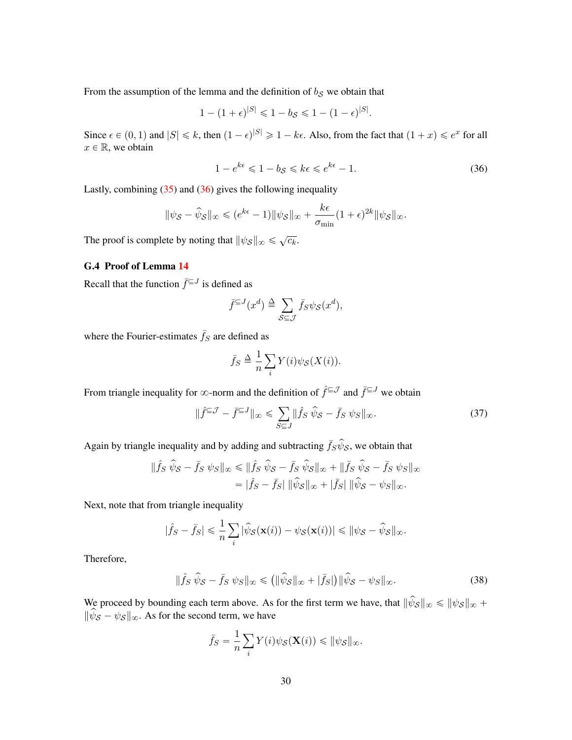From the assumption of the lemma and the definition of  $b_S$  we obtain that

$$
1 - (1 + \epsilon)^{|S|} \leq 1 - b_{S} \leq 1 - (1 - \epsilon)^{|S|}.
$$

Since  $\epsilon \in (0, 1)$  and  $|S| \le k$ , then  $(1 - \epsilon)^{|S|} \ge 1 - k\epsilon$ . Also, from the fact that  $(1 + x) \le e^{x}$  for all  $x \in \mathbb{R}$ , we obtain

<span id="page-29-1"></span>
$$
1 - e^{k\epsilon} \leq 1 - b_{\mathcal{S}} \leq k\epsilon \leq e^{k\epsilon} - 1. \tag{36}
$$

Lastly, combining  $(35)$  and  $(36)$  gives the following inequality

$$
\|\psi_{\mathcal{S}} - \widehat{\psi}_{\mathcal{S}}\|_{\infty} \leqslant (e^{k\epsilon} - 1) \|\psi_{\mathcal{S}}\|_{\infty} + \frac{k\epsilon}{\sigma_{\min}} (1 + \epsilon)^{2k} \|\psi_{\mathcal{S}}\|_{\infty}.
$$

The proof is complete by noting that  $\|\psi_{\mathcal{S}}\|_{\infty} \leq \sqrt{c_k}$ .

# <span id="page-29-0"></span>G.4 Proof of Lemma [14](#page-19-1)

Recall that the function  $\bar{f}^{\subseteq J}$  is defined as

$$
\bar{f}^{\subseteq J}(x^d) \triangleq \sum_{\mathcal{S} \subseteq \mathcal{J}} \bar{f}_{\mathcal{S}} \psi_{\mathcal{S}}(x^d),
$$

where the Fourier-estimates  $\bar{f}_S$  are defined as

<span id="page-29-3"></span>
$$
\bar{f}_S \triangleq \frac{1}{n} \sum_i Y(i) \psi_S(X(i)).
$$

From triangle inequality for  $\infty$ -norm and the definition of  $\hat{f}^{\subseteq J}$  and  $\bar{f}^{\subseteq J}$  we obtain

$$
\|\hat{f}^{\subseteq \mathcal{J}} - \bar{f}^{\subseteq J}\|_{\infty} \le \sum_{S \subseteq J} \|\hat{f}_S \,\hat{\psi}_S - \bar{f}_S \,\psi_S\|_{\infty}.\tag{37}
$$

Again by triangle inequality and by adding and subtracting  $\bar{f}_S \hat{\psi}_S$ , we obtain that

$$
\|\hat{f}S \ \hat{\psi}S - \bar{f}S \ \psi_S\|_{\infty} \le \|\hat{f}S \ \hat{\psi}S - \bar{f}S \ \hat{\psi}S\|_{\infty} + \|\bar{f}S \ \hat{\psi}S - \bar{f}S \ \psi_S\|_{\infty} \n= |\hat{f}S - \bar{f}S| \ \|\hat{\psi}S\|_{\infty} + |\bar{f}S| \ \|\hat{\psi}S - \psi_S\|_{\infty}.
$$

Next, note that from triangle inequality

$$
|\hat{f}_S - \bar{f}_S| \leq \frac{1}{n} \sum_i |\hat{\psi}_{\mathcal{S}}(\mathbf{x}(i)) - \psi_{\mathcal{S}}(\mathbf{x}(i))| \leq \|\psi_{\mathcal{S}} - \hat{\psi}_{\mathcal{S}}\|_{\infty}.
$$

Therefore,

$$
\|\hat{f}_S\,\hat{\psi}_\mathcal{S} - \bar{f}_S\,\psi_S\|_\infty \le (\|\hat{\psi}_\mathcal{S}\|_\infty + |\bar{f}_S|)\|\hat{\psi}_\mathcal{S} - \psi_S\|_\infty. \tag{38}
$$

We proceed by bounding each term above. As for the first term we have, that  $\|\hat{\psi}_{\mathcal{S}}\|_{\infty} \leq \|\psi_{\mathcal{S}}\|_{\infty} +$  $\|\hat{\psi}_{\mathcal{S}} - \psi_{\mathcal{S}}\|_{\infty}$ . As for the second term, we have

<span id="page-29-2"></span>
$$
\bar{f}_S = \frac{1}{n} \sum_i Y(i) \psi_{\mathcal{S}}(\mathbf{X}(i)) \leq \|\psi_{\mathcal{S}}\|_{\infty}.
$$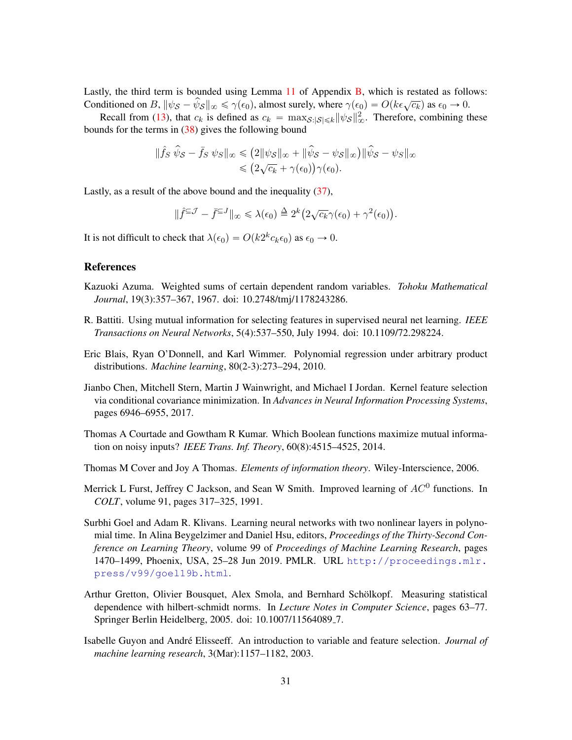Lastly, the third term is bounded using Lemma [11](#page-17-0) of Appendix [B,](#page-15-0) which is restated as follows: Conditioned on  $B$ ,  $\|\psi_S - \hat{\psi}_S\|_{\infty} \le \gamma(\epsilon_0)$ , almost surely, where  $\gamma(\epsilon_0) = O(k\epsilon\sqrt{c_k})$  as  $\epsilon_0 \to 0$ .

Recall from [\(13\)](#page-13-2), that  $c_k$  is defined as  $c_k = \max_{\mathcal{S}: |\mathcal{S}| \leq k} ||\psi_{\mathcal{S}}||_{\infty}^2$ . Therefore, combining these bounds for the terms in [\(38\)](#page-29-2) gives the following bound

$$
\|\hat{f}_S \,\hat{\psi}_S - \bar{f}_S \,\psi_S\|_{\infty} \le (2\|\psi_S\|_{\infty} + \|\hat{\psi}_S - \psi_S\|_{\infty}) \|\hat{\psi}_S - \psi_S\|_{\infty} \le (2\sqrt{c_k} + \gamma(\epsilon_0))\gamma(\epsilon_0).
$$

Lastly, as a result of the above bound and the inequality [\(37\)](#page-29-3),

$$
\|\hat{f}^{\subseteq \mathcal{J}} - \bar{f}^{\subseteq J}\|_{\infty} \leq \lambda(\epsilon_0) \stackrel{\Delta}{=} 2^k \big(2\sqrt{c_k}\gamma(\epsilon_0) + \gamma^2(\epsilon_0)\big).
$$

It is not difficult to check that  $\lambda(\epsilon_0) = O(k2^k c_k \epsilon_0)$  as  $\epsilon_0 \to 0$ .

# **References**

- <span id="page-30-8"></span>Kazuoki Azuma. Weighted sums of certain dependent random variables. *Tohoku Mathematical Journal*, 19(3):357–367, 1967. doi: 10.2748/tmj/1178243286.
- <span id="page-30-1"></span>R. Battiti. Using mutual information for selecting features in supervised neural net learning. *IEEE Transactions on Neural Networks*, 5(4):537–550, July 1994. doi: 10.1109/72.298224.
- <span id="page-30-7"></span>Eric Blais, Ryan O'Donnell, and Karl Wimmer. Polynomial regression under arbitrary product distributions. *Machine learning*, 80(2-3):273–294, 2010.
- <span id="page-30-3"></span>Jianbo Chen, Mitchell Stern, Martin J Wainwright, and Michael I Jordan. Kernel feature selection via conditional covariance minimization. In *Advances in Neural Information Processing Systems*, pages 6946–6955, 2017.
- <span id="page-30-5"></span>Thomas A Courtade and Gowtham R Kumar. Which Boolean functions maximize mutual information on noisy inputs? *IEEE Trans. Inf. Theory*, 60(8):4515–4525, 2014.
- <span id="page-30-6"></span>Thomas M Cover and Joy A Thomas. *Elements of information theory*. Wiley-Interscience, 2006.
- <span id="page-30-9"></span>Merrick L Furst, Jeffrey C Jackson, and Sean W Smith. Improved learning of  $AC^0$  functions. In *COLT*, volume 91, pages 317–325, 1991.
- <span id="page-30-4"></span>Surbhi Goel and Adam R. Klivans. Learning neural networks with two nonlinear layers in polynomial time. In Alina Beygelzimer and Daniel Hsu, editors, *Proceedings of the Thirty-Second Conference on Learning Theory*, volume 99 of *Proceedings of Machine Learning Research*, pages 1470–1499, Phoenix, USA, 25–28 Jun 2019. PMLR. URL [http://proceedings.mlr.](http://proceedings.mlr.press/v99/goel19b.html) [press/v99/goel19b.html](http://proceedings.mlr.press/v99/goel19b.html).
- <span id="page-30-2"></span>Arthur Gretton, Olivier Bousquet, Alex Smola, and Bernhard Scholkopf. Measuring statistical ¨ dependence with hilbert-schmidt norms. In *Lecture Notes in Computer Science*, pages 63–77. Springer Berlin Heidelberg, 2005. doi: 10.1007/11564089 7.
- <span id="page-30-0"></span>Isabelle Guyon and Andre Elisseeff. An introduction to variable and feature selection. ´ *Journal of machine learning research*, 3(Mar):1157–1182, 2003.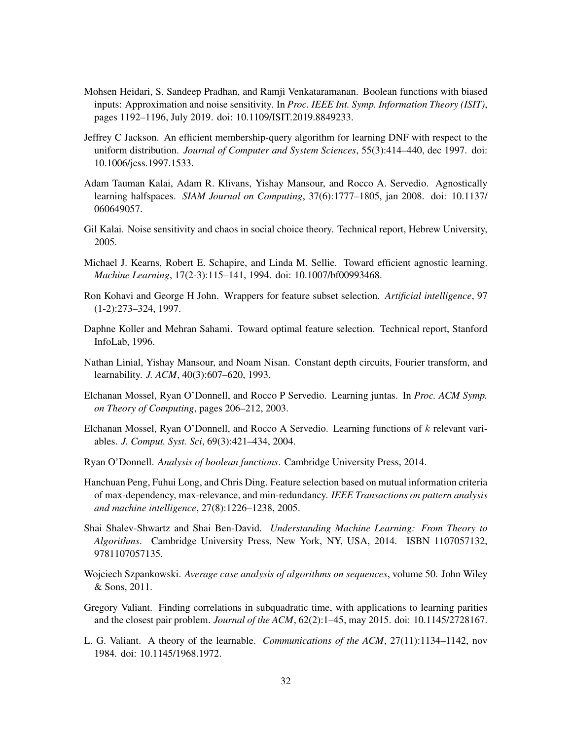- <span id="page-31-8"></span>Mohsen Heidari, S. Sandeep Pradhan, and Ramji Venkataramanan. Boolean functions with biased inputs: Approximation and noise sensitivity. In *Proc. IEEE Int. Symp. Information Theory (ISIT)*, pages 1192–1196, July 2019. doi: 10.1109/ISIT.2019.8849233.
- <span id="page-31-15"></span>Jeffrey C Jackson. An efficient membership-query algorithm for learning DNF with respect to the uniform distribution. *Journal of Computer and System Sciences*, 55(3):414–440, dec 1997. doi: 10.1006/jcss.1997.1533.
- <span id="page-31-9"></span>Adam Tauman Kalai, Adam R. Klivans, Yishay Mansour, and Rocco A. Servedio. Agnostically learning halfspaces. *SIAM Journal on Computing*, 37(6):1777–1805, jan 2008. doi: 10.1137/ 060649057.
- <span id="page-31-11"></span>Gil Kalai. Noise sensitivity and chaos in social choice theory. Technical report, Hebrew University, 2005.
- <span id="page-31-4"></span>Michael J. Kearns, Robert E. Schapire, and Linda M. Sellie. Toward efficient agnostic learning. *Machine Learning*, 17(2-3):115–141, 1994. doi: 10.1007/bf00993468.
- <span id="page-31-0"></span>Ron Kohavi and George H John. Wrappers for feature subset selection. *Artificial intelligence*, 97 (1-2):273–324, 1997.
- <span id="page-31-1"></span>Daphne Koller and Mehran Sahami. Toward optimal feature selection. Technical report, Stanford InfoLab, 1996.
- <span id="page-31-5"></span>Nathan Linial, Yishay Mansour, and Noam Nisan. Constant depth circuits, Fourier transform, and learnability. *J. ACM*, 40(3):607–620, 1993.
- <span id="page-31-13"></span>Elchanan Mossel, Ryan O'Donnell, and Rocco P Servedio. Learning juntas. In *Proc. ACM Symp. on Theory of Computing*, pages 206–212, 2003.
- <span id="page-31-14"></span>Elchanan Mossel, Ryan O'Donnell, and Rocco A Servedio. Learning functions of k relevant variables. *J. Comput. Syst. Sci*, 69(3):421–434, 2004.
- <span id="page-31-10"></span>Ryan O'Donnell. *Analysis of boolean functions*. Cambridge University Press, 2014.
- <span id="page-31-2"></span>Hanchuan Peng, Fuhui Long, and Chris Ding. Feature selection based on mutual information criteria of max-dependency, max-relevance, and min-redundancy. *IEEE Transactions on pattern analysis and machine intelligence*, 27(8):1226–1238, 2005.
- <span id="page-31-7"></span>Shai Shalev-Shwartz and Shai Ben-David. *Understanding Machine Learning: From Theory to Algorithms*. Cambridge University Press, New York, NY, USA, 2014. ISBN 1107057132, 9781107057135.
- <span id="page-31-12"></span>Wojciech Szpankowski. *Average case analysis of algorithms on sequences*, volume 50. John Wiley & Sons, 2011.
- <span id="page-31-6"></span>Gregory Valiant. Finding correlations in subquadratic time, with applications to learning parities and the closest pair problem. *Journal of the ACM*, 62(2):1–45, may 2015. doi: 10.1145/2728167.
- <span id="page-31-3"></span>L. G. Valiant. A theory of the learnable. *Communications of the ACM*, 27(11):1134–1142, nov 1984. doi: 10.1145/1968.1972.